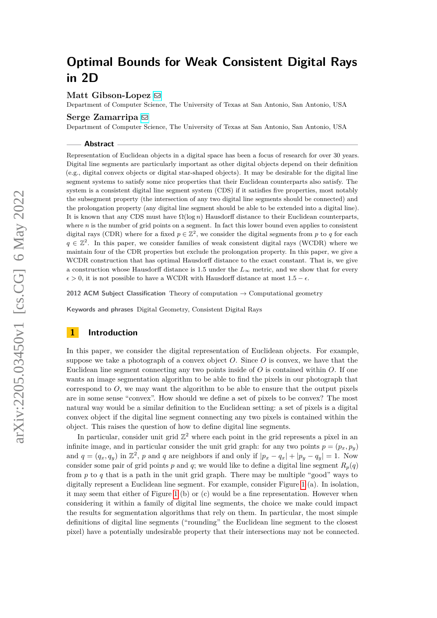### **Matt Gibson-Lopez** ⊠

Department of Computer Science, The University of Texas at San Antonio, San Antonio, USA

### **Serge Zamarripa** [!](mailto:sergio.zamarripa@my.utsa.edu)

Department of Computer Science, The University of Texas at San Antonio, San Antonio, USA

#### **Abstract**

Representation of Euclidean objects in a digital space has been a focus of research for over 30 years. Digital line segments are particularly important as other digital objects depend on their definition (e.g., digital convex objects or digital star-shaped objects). It may be desirable for the digital line segment systems to satisfy some nice properties that their Euclidean counterparts also satisfy. The system is a consistent digital line segment system (CDS) if it satisfies five properties, most notably the subsegment property (the intersection of any two digital line segments should be connected) and the prolongation property (any digital line segment should be able to be extended into a digital line). It is known that any CDS must have  $\Omega(\log n)$  Hausdorff distance to their Euclidean counterparts, where *n* is the number of grid points on a segment. In fact this lower bound even applies to consistent digital rays (CDR) where for a fixed  $p \in \mathbb{Z}^2$ , we consider the digital segments from p to q for each  $q \in \mathbb{Z}^2$ . In this paper, we consider families of weak consistent digital rays (WCDR) where we maintain four of the CDR properties but exclude the prolongation property. In this paper, we give a WCDR construction that has optimal Hausdorff distance to the exact constant. That is, we give a construction whose Hausdorff distance is 1.5 under the  $L_{\infty}$  metric, and we show that for every  $\epsilon > 0$ , it is not possible to have a WCDR with Hausdorff distance at most  $1.5 - \epsilon$ .

**2012 ACM Subject Classification** Theory of computation → Computational geometry

**Keywords and phrases** Digital Geometry, Consistent Digital Rays

### **1 Introduction**

In this paper, we consider the digital representation of Euclidean objects. For example, suppose we take a photograph of a convex object *O*. Since *O* is convex, we have that the Euclidean line segment connecting any two points inside of *O* is contained within *O*. If one wants an image segmentation algorithm to be able to find the pixels in our photograph that correspond to  $O$ , we may want the algorithm to be able to ensure that the output pixels are in some sense "convex". How should we define a set of pixels to be convex? The most natural way would be a similar definition to the Euclidean setting: a set of pixels is a digital convex object if the digital line segment connecting any two pixels is contained within the object. This raises the question of how to define digital line segments.

In particular, consider unit grid  $\mathbb{Z}^2$  where each point in the grid represents a pixel in an infinite image, and in particular consider the unit grid graph: for any two points  $p = (p_x, p_y)$ and  $q = (q_x, q_y)$  in  $\mathbb{Z}^2$ , p and q are neighbors if and only if  $|p_x - q_x| + |p_y - q_y| = 1$ . Now consider some pair of grid points *p* and *q*; we would like to define a digital line segment  $R_p(q)$ from *p* to *q* that is a path in the unit grid graph. There may be multiple "good" ways to digitally represent a Euclidean line segment. For example, consider Figure [1](#page-1-0) (a). In isolation, it may seem that either of Figure [1](#page-1-0) (b) or (c) would be a fine representation. However when considering it within a family of digital line segments, the choice we make could impact the results for segmentation algorithms that rely on them. In particular, the most simple definitions of digital line segments ("rounding" the Euclidean line segment to the closest pixel) have a potentially undesirable property that their intersections may not be connected.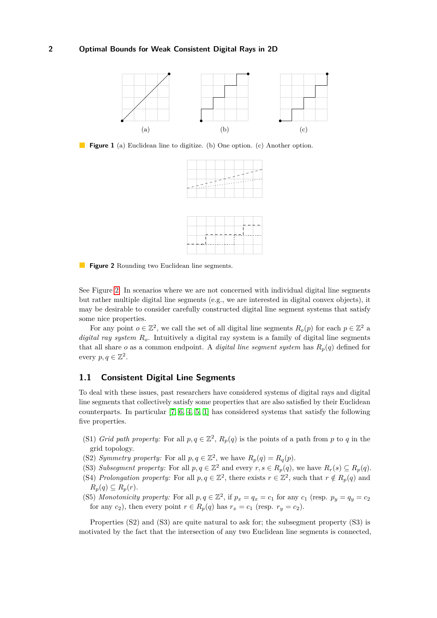<span id="page-1-0"></span>

<span id="page-1-1"></span>**Figure 1** (a) Euclidean line to digitize. (b) One option. (c) Another option.





**Figure 2** Rounding two Euclidean line segments.

See Figure [2.](#page-1-1) In scenarios where we are not concerned with individual digital line segments but rather multiple digital line segments (e.g., we are interested in digital convex objects), it may be desirable to consider carefully constructed digital line segment systems that satisfy some nice properties.

For any point  $o \in \mathbb{Z}^2$ , we call the set of all digital line segments  $R_o(p)$  for each  $p \in \mathbb{Z}^2$  a *digital ray system Ro*. Intuitively a digital ray system is a family of digital line segments that all share *o* as a common endpoint. A *digital line segment system* has  $R_p(q)$  defined for every  $p, q \in \mathbb{Z}^2$ .

### **1.1 Consistent Digital Line Segments**

To deal with these issues, past researchers have considered systems of digital rays and digital line segments that collectively satisfy some properties that are also satisfied by their Euclidean counterparts. In particular [\[7,](#page-23-0) [6,](#page-23-1) [4,](#page-23-2) [5,](#page-23-3) [1\]](#page-22-0) has considered systems that satisfy the following five properties.

- (S1) *Grid path property:* For all  $p, q \in \mathbb{Z}^2$ ,  $R_p(q)$  is the points of a path from *p* to *q* in the grid topology.
- (S2) *Symmetry property:* For all  $p, q \in \mathbb{Z}^2$ , we have  $R_p(q) = R_q(p)$ .
- (S3) *Subsegment property:* For all  $p, q \in \mathbb{Z}^2$  and every  $r, s \in R_p(q)$ , we have  $R_r(s) \subseteq R_p(q)$ .
- (S4) *Prolongation property:* For all  $p, q \in \mathbb{Z}^2$ , there exists  $r \in \mathbb{Z}^2$ , such that  $r \notin R_p(q)$  and  $R_p(q) \subseteq R_p(r)$ .
- (S5) Monotonicity property: For all  $p, q \in \mathbb{Z}^2$ , if  $p_x = q_x = c_1$  for any  $c_1$  (resp.  $p_y = q_y = c_2$ ) for any  $c_2$ ), then every point  $r \in R_p(q)$  has  $r_x = c_1$  (resp.  $r_y = c_2$ ).

Properties (S2) and (S3) are quite natural to ask for; the subsegment property (S3) is motivated by the fact that the intersection of any two Euclidean line segments is connected,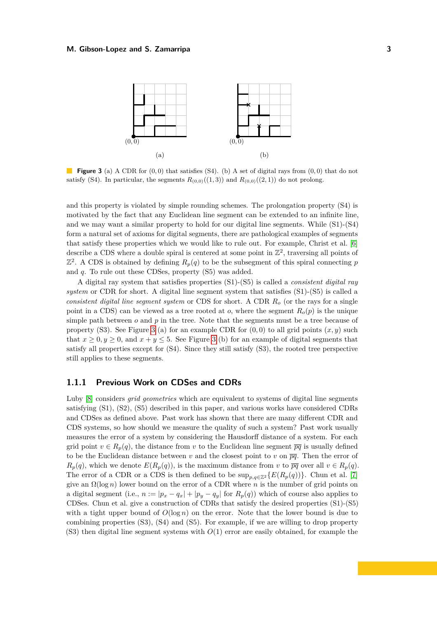<span id="page-2-0"></span>

**Figure 3** (a) A CDR for (0*,* 0) that satisfies (S4). (b) A set of digital rays from (0*,* 0) that do not satisfy (S4). In particular, the segments  $R_{(0,0)}((1,3))$  and  $R_{(0,0)}((2,1))$  do not prolong.

and this property is violated by simple rounding schemes. The prolongation property (S4) is motivated by the fact that any Euclidean line segment can be extended to an infinite line, and we may want a similar property to hold for our digital line segments. While (S1)-(S4) form a natural set of axioms for digital segments, there are pathological examples of segments that satisfy these properties which we would like to rule out. For example, Christ et al. [\[6\]](#page-23-1) describe a CDS where a double spiral is centered at some point in  $\mathbb{Z}^2$ , traversing all points of  $\mathbb{Z}^2$ . A CDS is obtained by defining  $R_p(q)$  to be the subsegment of this spiral connecting *p* and *q*. To rule out these CDSes, property (S5) was added.

A digital ray system that satisfies properties (S1)-(S5) is called a *consistent digital ray system* or CDR for short. A digital line segment system that satisfies (S1)-(S5) is called a *consistent digital line segment system* or CDS for short. A CDR *R<sup>o</sup>* (or the rays for a single point in a CDS) can be viewed as a tree rooted at *o*, where the segment  $R_o(p)$  is the unique simple path between  $o$  and  $p$  in the tree. Note that the segments must be a tree because of property (S3). See Figure [3](#page-2-0) (a) for an example CDR for  $(0,0)$  to all grid points  $(x, y)$  such that  $x \geq 0, y \geq 0$ , and  $x + y \leq 5$ . See Figure [3](#page-2-0) (b) for an example of digital segments that satisfy all properties except for (S4). Since they still satisfy (S3), the rooted tree perspective still applies to these segments.

### **1.1.1 Previous Work on CDSes and CDRs**

Luby [\[8\]](#page-23-4) considers *grid geometries* which are equivalent to systems of digital line segments satisfying (S1), (S2), (S5) described in this paper, and various works have considered CDRs and CDSes as defined above. Past work has shown that there are many different CDR and CDS systems, so how should we measure the quality of such a system? Past work usually measures the error of a system by considering the Hausdorff distance of a system. For each grid point  $v \in R_p(q)$ , the distance from v to the Euclidean line segment  $\overline{pq}$  is usually defined to be the Euclidean distance between *v* and the closest point to *v* on  $\overline{pq}$ . Then the error of  $R_p(q)$ , which we denote  $E(R_p(q))$ , is the maximum distance from *v* to  $\overline{pq}$  over all  $v \in R_p(q)$ . The error of a CDR or a CDS is then defined to be  $\sup_{p,q\in\mathbb{Z}^2} \{E(R_p(q))\}$ . Chun et al. [\[7\]](#page-23-0) give an Ω(log *n*) lower bound on the error of a CDR where *n* is the number of grid points on a digital segment (i.e.,  $n := |p_x - q_x| + |p_y - q_y|$  for  $R_p(q)$ ) which of course also applies to CDSes. Chun et al. give a construction of CDRs that satisfy the desired properties (S1)-(S5) with a tight upper bound of  $O(\log n)$  on the error. Note that the lower bound is due to combining properties (S3), (S4) and (S5). For example, if we are willing to drop property (S3) then digital line segment systems with *O*(1) error are easily obtained, for example the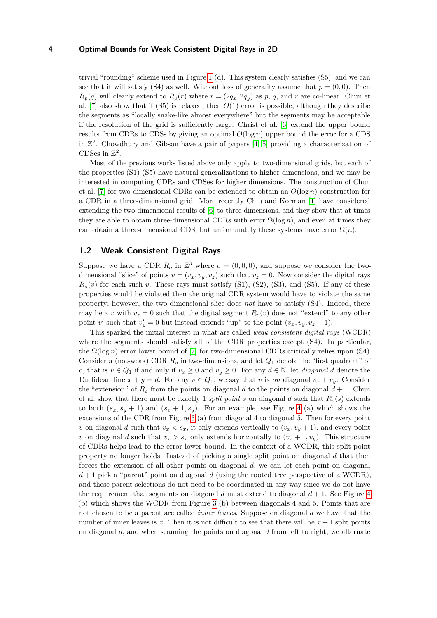trivial "rounding" scheme used in Figure [1](#page-1-0) (d). This system clearly satisfies (S5), and we can see that it will satisfy (S4) as well. Without loss of generality assume that  $p = (0,0)$ . Then  $R_p(q)$  will clearly extend to  $R_p(r)$  where  $r = (2q_x, 2q_y)$  as p, q, and r are co-linear. Chun et al. [\[7\]](#page-23-0) also show that if  $(S5)$  is relaxed, then  $O(1)$  error is possible, although they describe the segments as "locally snake-like almost everywhere" but the segments may be acceptable if the resolution of the grid is sufficiently large. Christ et al. [\[6\]](#page-23-1) extend the upper bound results from CDRs to CDSs by giving an optimal *O*(log *n*) upper bound the error for a CDS in  $\mathbb{Z}^2$ . Chowdhury and Gibson have a pair of papers [\[4,](#page-23-2) [5\]](#page-23-3) providing a characterization of CDSes in  $\mathbb{Z}^2$ .

Most of the previous works listed above only apply to two-dimensional grids, but each of the properties (S1)-(S5) have natural generalizations to higher dimensions, and we may be interested in computing CDRs and CDSes for higher dimensions. The construction of Chun et al. [\[7\]](#page-23-0) for two-dimensional CDRs can be extended to obtain an  $O(\log n)$  construction for a CDR in a three-dimensional grid. More recently Chiu and Korman [\[1\]](#page-22-0) have considered extending the two-dimensional results of [\[6\]](#page-23-1) to three dimensions, and they show that at times they are able to obtain three-dimensional CDRs with error  $\Omega(\log n)$ , and even at times they can obtain a three-dimensional CDS, but unfortunately these systems have error  $\Omega(n)$ .

### **1.2 Weak Consistent Digital Rays**

Suppose we have a CDR  $R_o$  in  $\mathbb{Z}^3$  where  $o = (0,0,0)$ , and suppose we consider the twodimensional "slice" of points  $v = (v_x, v_y, v_z)$  such that  $v_z = 0$ . Now consider the digital rays  $R<sub>o</sub>(v)$  for each such *v*. These rays must satisfy (S1), (S2), (S3), and (S5). If any of these properties would be violated then the original CDR system would have to violate the same property; however, the two-dimensional slice does *not* have to satisfy (S4). Indeed, there may be a *v* with  $v_z = 0$  such that the digital segment  $R_o(v)$  does not "extend" to any other point *v*' such that  $v'_z = 0$  but instead extends "up" to the point  $(v_x, v_y, v_z + 1)$ .

This sparked the initial interest in what are called *weak consistent digital rays* (WCDR) where the segments should satisfy all of the CDR properties except (S4). In particular, the  $\Omega(\log n)$  error lower bound of [\[7\]](#page-23-0) for two-dimensional CDRs critically relies upon (S4). Consider a (not-weak) CDR *R<sup>o</sup>* in two-dimensions, and let *Q*<sup>1</sup> denote the "first quadrant" of *o*, that is  $v \in Q_1$  if and only if  $v_x \geq 0$  and  $v_y \geq 0$ . For any  $d \in \mathbb{N}$ , let *diagonal d* denote the Euclidean line  $x + y = d$ . For any  $v \in Q_1$ , we say that *v* is *on* diagonal  $v_x + v_y$ . Consider the "extension" of  $R_o$  from the points on diagonal *d* to the points on diagonal  $d+1$ . Chun et al. show that there must be exactly 1 *split point s* on diagonal *d* such that  $R_o(s)$  extends to both  $(s_x, s_y + 1)$  and  $(s_x + 1, s_y)$ . For an example, see Figure [4](#page-4-0) (a) which shows the extensions of the CDR from Figure [3](#page-2-0) (a) from diagonal 4 to diagonal 5. Then for every point *v* on diagonal *d* such that  $v_x < s_x$ , it only extends vertically to  $(v_x, v_y + 1)$ , and every point *v* on diagonal *d* such that  $v_x > s_x$  only extends horizontally to  $(v_x + 1, v_y)$ . This structure of CDRs helps lead to the error lower bound. In the context of a WCDR, this split point property no longer holds. Instead of picking a single split point on diagonal *d* that then forces the extension of all other points on diagonal *d*, we can let each point on diagonal  $d+1$  pick a "parent" point on diagonal *d* (using the rooted tree perspective of a WCDR), and these parent selections do not need to be coordinated in any way since we do not have the requirement that segments on diagonal  $d$  must extend to diagonal  $d+1$ . See Figure [4](#page-4-0) (b) which shows the WCDR from Figure [3](#page-2-0) (b) between diagonals 4 and 5. Points that are not chosen to be a parent are called *inner leaves*. Suppose on diagonal *d* we have that the number of inner leaves is x. Then it is not difficult to see that there will be  $x + 1$  split points on diagonal *d*, and when scanning the points on diagonal *d* from left to right, we alternate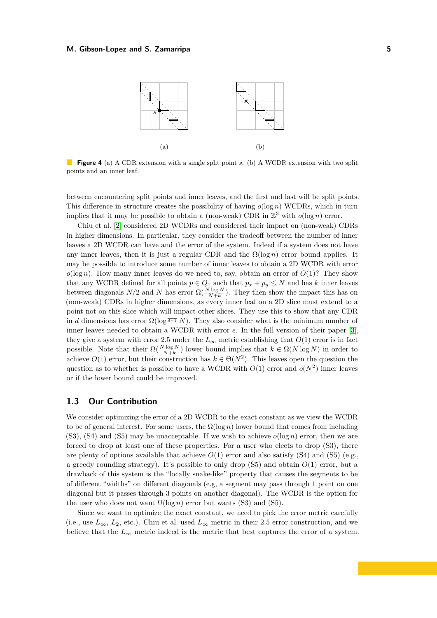<span id="page-4-0"></span>

**Figure 4** (a) A CDR extension with a single split point *s*. (b) A WCDR extension with two split points and an inner leaf.

between encountering split points and inner leaves, and the first and last will be split points. This difference in structure creates the possibility of having *o*(log *n*) WCDRs, which in turn implies that it may be possible to obtain a (non-weak) CDR in  $\mathbb{Z}^3$  with  $o(\log n)$  error.

Chiu et al. [\[2\]](#page-22-1) considered 2D WCDRs and considered their impact on (non-weak) CDRs in higher dimensions. In particular, they consider the tradeoff between the number of inner leaves a 2D WCDR can have and the error of the system. Indeed if a system does not have any inner leaves, then it is just a regular CDR and the  $\Omega(\log n)$  error bound applies. It may be possible to introduce some number of inner leaves to obtain a 2D WCDR with error  $o(\log n)$ . How many inner leaves do we need to, say, obtain an error of  $O(1)$ ? They show that any WCDR defined for all points  $p \in Q_1$  such that  $p_x + p_y \leq N$  and has *k* inner leaves between diagonals  $N/2$  and  $N$  has error  $\Omega(\frac{N \log N}{N+k})$ . They then show the impact this has on (non-weak) CDRs in higher dimensions, as every inner leaf on a 2D slice must extend to a point not on this slice which will impact other slices. They use this to show that any CDR in *d* dimensions has error  $\Omega(\log^{\frac{1}{d-1}} N)$ . They also consider what is the minimum number of inner leaves needed to obtain a WCDR with error *e*. In the full version of their paper [\[3\]](#page-23-5), they give a system with error 2.5 under the  $L_{\infty}$  metric establishing that  $O(1)$  error is in fact possible. Note that their  $\Omega(\frac{N \log N}{N+k})$  lower bound implies that  $k \in \Omega(N \log N)$  in order to achieve  $O(1)$  error, but their construction has  $k \in \Theta(N^2)$ . This leaves open the question the question as to whether is possible to have a WCDR with  $O(1)$  error and  $o(N^2)$  inner leaves or if the lower bound could be improved.

### **1.3 Our Contribution**

We consider optimizing the error of a 2D WCDR to the exact constant as we view the WCDR to be of general interest. For some users, the  $\Omega(\log n)$  lower bound that comes from including (S3), (S4) and (S5) may be unacceptable. If we wish to achieve  $o(\log n)$  error, then we are forced to drop at least one of these properties. For a user who elects to drop (S3), there are plenty of options available that achieve  $O(1)$  error and also satisfy  $(S4)$  and  $(S5)$  (e.g., a greedy rounding strategy). It's possible to only drop (S5) and obtain *O*(1) error, but a drawback of this system is the "locally snake-like" property that causes the segments to be of different "widths" on different diagonals (e.g, a segment may pass through 1 point on one diagonal but it passes through 3 points on another diagonal). The WCDR is the option for the user who does not want  $\Omega(\log n)$  error but wants (S3) and (S5).

Since we want to optimize the exact constant, we need to pick the error metric carefully (i.e., use  $L_{\infty}$ ,  $L_2$ , etc.). Chiu et al. used  $L_{\infty}$  metric in their 2.5 error construction, and we believe that the  $L_{\infty}$  metric indeed is the metric that best captures the error of a system.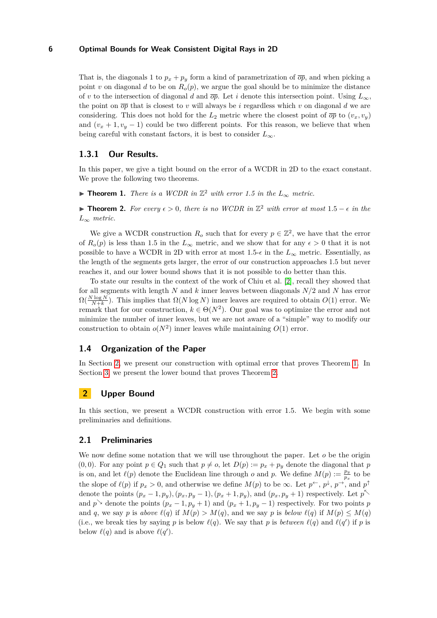That is, the diagonals 1 to  $p_x + p_y$  form a kind of parametrization of  $\overline{op}$ , and when picking a point *v* on diagonal *d* to be on  $R_o(p)$ , we argue the goal should be to minimize the distance of *v* to the intersection of diagonal *d* and  $\overline{op}$ . Let *i* denote this intersection point. Using  $L_{\infty}$ , the point on  $\overline{op}$  that is closest to *v* will always be *i* regardless which *v* on diagonal *d* we are considering. This does not hold for the  $L_2$  metric where the closest point of  $\overline{op}$  to  $(v_x, v_y)$ and  $(v_x + 1, v_y - 1)$  could be two different points. For this reason, we believe that when being careful with constant factors, it is best to consider  $L_{\infty}$ .

### **1.3.1 Our Results.**

In this paper, we give a tight bound on the error of a WCDR in 2D to the exact constant. We prove the following two theorems.

<span id="page-5-1"></span>▶ **Theorem 1.** *There is a WCDR in*  $\mathbb{Z}^2$  *with error 1.5 in the*  $L_{\infty}$  *metric.* 

<span id="page-5-2"></span>**► Theorem 2.** For every  $\epsilon > 0$ , there is no WCDR in  $\mathbb{Z}^2$  with error at most  $1.5 - \epsilon$  in the *L*<sup>∞</sup> *metric.*

We give a WCDR construction  $R_o$  such that for every  $p \in \mathbb{Z}^2$ , we have that the error of  $R_o(p)$  is less than 1.5 in the  $L_{\infty}$  metric, and we show that for any  $\epsilon > 0$  that it is not possible to have a WCDR in 2D with error at most 1.5- $\epsilon$  in the  $L_{\infty}$  metric. Essentially, as the length of the segments gets larger, the error of our construction approaches 1.5 but never reaches it, and our lower bound shows that it is not possible to do better than this.

To state our results in the context of the work of Chiu et al. [\[2\]](#page-22-1), recall they showed that for all segments with length *N* and *k* inner leaves between diagonals *N/*2 and *N* has error  $\Omega(\frac{N \log N}{N+k})$ . This implies that  $\Omega(N \log N)$  inner leaves are required to obtain  $O(1)$  error. We remark that for our construction,  $k \in \Theta(N^2)$ . Our goal was to optimize the error and not minimize the number of inner leaves, but we are not aware of a "simple" way to modify our construction to obtain  $o(N^2)$  inner leaves while maintaining  $O(1)$  error.

#### **1.4 Organization of the Paper**

In Section [2,](#page-5-0) we present our construction with optimal error that proves Theorem [1.](#page-5-1) In Section [3,](#page-10-0) we present the lower bound that proves Theorem [2.](#page-5-2)

### <span id="page-5-0"></span>**2 Upper Bound**

In this section, we present a WCDR construction with error 1.5. We begin with some preliminaries and definitions.

### **2.1 Preliminaries**

We now define some notation that we will use throughout the paper. Let *o* be the origin (0,0). For any point  $p \in Q_1$  such that  $p \neq o$ , let  $D(p) := p_x + p_y$  denote the diagonal that *p* is on, and let  $\ell(p)$  denote the Euclidean line through *o* and *p*. We define  $M(p) := \frac{p_y}{p_x}$  to be the slope of  $\ell(p)$  if  $p_x > 0$ , and otherwise we define  $M(p)$  to be  $\infty$ . Let  $p^{\leftarrow}$ ,  $p^{\downarrow}$ ,  $p^{\rightarrow}$ , and  $p^{\uparrow}$ denote the points  $(p_x - 1, p_y), (p_x, p_y - 1), (p_x + 1, p_y)$ , and  $(p_x, p_y + 1)$  respectively. Let  $p^{\nwarrow}$ and  $p \text{~} \backslash$  denote the points  $(p_x - 1, p_y + 1)$  and  $(p_x + 1, p_y - 1)$  respectively. For two points *p* and *q*, we say *p* is *above*  $\ell(q)$  if  $M(p) > M(q)$ , and we say *p* is *below*  $\ell(q)$  if  $M(p) \leq M(q)$ (i.e., we break ties by saying *p* is below  $\ell(q)$ . We say that *p* is *between*  $\ell(q)$  and  $\ell(q')$  if *p* is below  $\ell(q)$  and is above  $\ell(q')$ .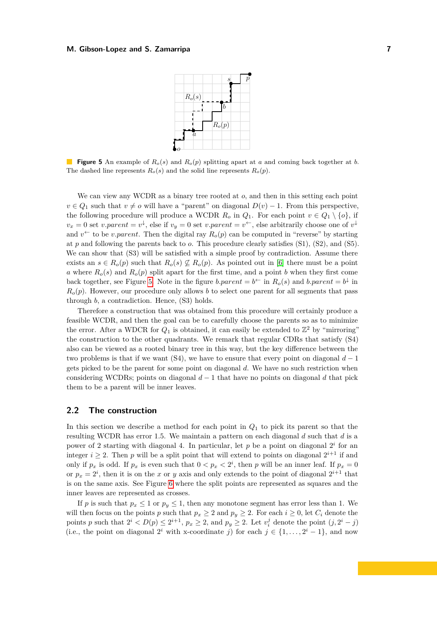

<span id="page-6-0"></span>**Figure 5** An example of *Ro*(*s*) and *Ro*(*p*) splitting apart at *a* and coming back together at *b*. The dashed line represents  $R_o(s)$  and the solid line represents  $R_o(p)$ .

We can view any WCDR as a binary tree rooted at *o*, and then in this setting each point  $v \in Q_1$  such that  $v \neq o$  will have a "parent" on diagonal  $D(v) - 1$ . From this perspective, the following procedure will produce a WCDR  $R_o$  in  $Q_1$ . For each point  $v \in Q_1 \setminus \{o\}$ , if  $v_x = 0$  set *v.parent* =  $v^{\downarrow}$ , else if  $v_y = 0$  set *v.parent* =  $v^{\leftarrow}$ , else arbitrarily choose one of  $v^{\downarrow}$ and  $v^{\leftarrow}$  to be *v.parent*. Then the digital ray  $R_o(p)$  can be computed in "reverse" by starting at *p* and following the parents back to *o*. This procedure clearly satisfies (S1), (S2), and (S5). We can show that  $(S3)$  will be satisfied with a simple proof by contradiction. Assume there exists an  $s \in R_o(p)$  such that  $R_o(s) \nsubseteq R_o(p)$ . As pointed out in [\[6\]](#page-23-1) there must be a point *a* where  $R_o(s)$  and  $R_o(p)$  split apart for the first time, and a point *b* when they first come back together, see Figure [5.](#page-6-0) Note in the figure *b.parent* =  $b^{\leftarrow}$  in  $R_o(s)$  and *b.parent* =  $b^{\downarrow}$  in  $R<sub>o</sub>(p)$ . However, our procedure only allows *b* to select one parent for all segments that pass through *b*, a contradiction. Hence, (S3) holds.

Therefore a construction that was obtained from this procedure will certainly produce a feasible WCDR, and then the goal can be to carefully choose the parents so as to minimize the error. After a WDCR for  $Q_1$  is obtained, it can easily be extended to  $\mathbb{Z}^2$  by "mirroring" the construction to the other quadrants. We remark that regular CDRs that satisfy (S4) also can be viewed as a rooted binary tree in this way, but the key difference between the two problems is that if we want  $(S4)$ , we have to ensure that every point on diagonal  $d-1$ gets picked to be the parent for some point on diagonal *d*. We have no such restriction when considering WCDRs; points on diagonal  $d-1$  that have no points on diagonal  $d$  that pick them to be a parent will be inner leaves.

### **2.2 The construction**

In this section we describe a method for each point in *Q*<sup>1</sup> to pick its parent so that the resulting WCDR has error 1.5. We maintain a pattern on each diagonal *d* such that *d* is a power of 2 starting with diagonal 4. In particular, let  $p$  be a point on diagonal  $2<sup>i</sup>$  for an integer  $i \geq 2$ . Then p will be a split point that will extend to points on diagonal  $2^{i+1}$  if and only if  $p_x$  is odd. If  $p_x$  is even such that  $0 < p_x < 2^i$ , then *p* will be an inner leaf. If  $p_x = 0$ or  $p_x = 2^i$ , then it is on the *x* or *y* axis and only extends to the point of diagonal  $2^{i+1}$  that is on the same axis. See Figure [6](#page-7-0) where the split points are represented as squares and the inner leaves are represented as crosses.

If *p* is such that  $p_x \leq 1$  or  $p_y \leq 1$ , then any monotone segment has error less than 1. We will then focus on the points *p* such that  $p_x \geq 2$  and  $p_y \geq 2$ . For each  $i \geq 0$ , let  $C_i$  denote the points *p* such that  $2^i < D(p) \leq 2^{i+1}$ ,  $p_x \geq 2$ , and  $p_y \geq 2$ . Let  $v_i^j$  denote the point  $(j, 2^i - j)$ (i.e., the point on diagonal  $2^i$  with x-coordinate *j*) for each  $j \in \{1, \ldots, 2^i - 1\}$ , and now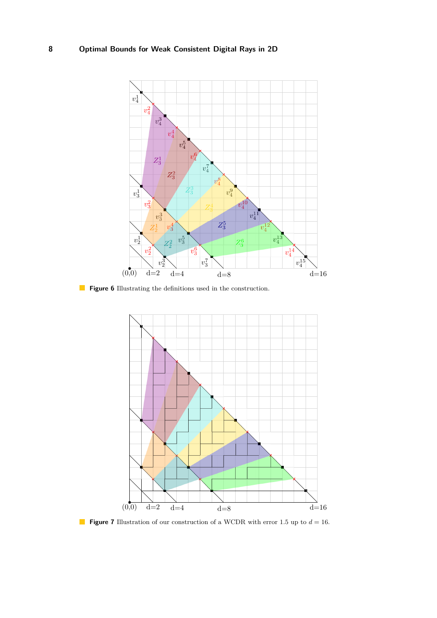<span id="page-7-0"></span>

<span id="page-7-1"></span>**Figure 6** Illustrating the definitions used in the construction.



**Figure 7** Illustration of our construction of a WCDR with error 1.5 up to  $d = 16$ .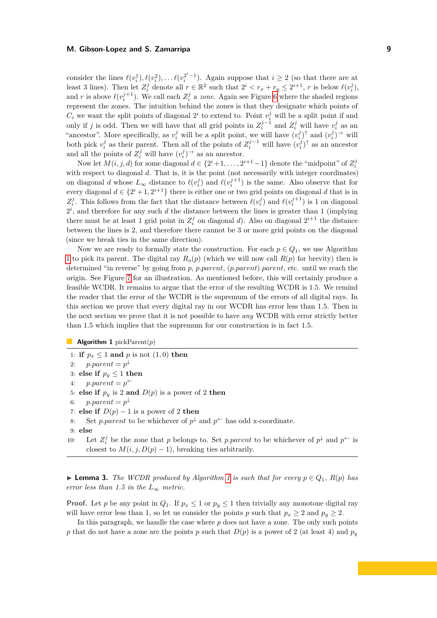consider the lines  $\ell(v_i^1), \ell(v_i^2), \ldots \ell(v_i^{2^{i-1}})$ . Again suppose that  $i \geq 2$  (so that there are at least 3 lines). Then let  $Z_i^j$  denote all  $r \in \mathbb{R}^2$  such that  $2^i < r_x + r_y \leq 2^{i+1}$ , r is below  $\ell(v_i^j)$ , and *r* is above  $\ell(v_i^{j+1})$ . We call each  $Z_i^j$  a *zone*. Again see Figure [6](#page-7-0) where the shaded regions represent the zones. The intuition behind the zones is that they designate which points of  $C_i$  we want the split points of diagonal  $2^i$  to extend to. Point  $v_i^j$  will be a split point if and only if *j* is odd. Then we will have that all grid points in  $Z_i^{j-1}$  and  $Z_i^j$  will have  $v_i^j$  as an "ancestor". More specifically, as  $v_i^j$  will be a split point, we will have  $(v_i^j)$ <sup>†</sup> and  $(v_i^j)$ <sup>→</sup> will both pick  $v_i^j$  as their parent. Then all of the points of  $Z_i^{j-1}$  will have  $(v_i^j)^\uparrow$  as an ancestor and all the points of  $Z_i^j$  will have  $(v_i^j)$ <sup> $\rightarrow$ </sup> as an ancestor.

Now let  $M(i, j, d)$  for some diagonal  $d \in \{2^i + 1, \ldots, 2^{i+1} - 1\}$  denote the "midpoint" of  $Z_i^j$ with respect to diagonal *d*. That is, it is the point (not necessarily with integer coordinates) on diagonal *d* whose  $L_{\infty}$  distance to  $\ell(v_i^j)$  and  $\ell(v_i^{j+1})$  is the same. Also observe that for every diagonal  $d \in \{2^i + 1, 2^{i+1}\}\$ there is either one or two grid points on diagonal *d* that is in  $Z_i^j$ . This follows from the fact that the distance between  $\ell(v_i^j)$  and  $\ell(v_i^{j+1})$  is 1 on diagonal  $2^i$ , and therefore for any such  $d$  the distance between the lines is greater than 1 (implying there must be at least 1 grid point in  $Z_i^j$  on diagonal *d*). Also on diagonal  $2^{i+1}$  the distance between the lines is 2, and therefore there cannot be 3 or more grid points on the diagonal (since we break ties in the same direction).

Now we are ready to formally state the construction. For each  $p \in Q_1$ , we use Algorithm [1](#page-8-0) to pick its parent. The digital ray  $R_o(p)$  (which we will now call  $R(p)$  for brevity) then is determined "in reverse" by going from *p*, *p.parent*, (*p.parent*)*.parent*, etc. until we reach the origin. See Figure [7](#page-7-1) for an illustration. As mentioned before, this will certainly produce a feasible WCDR. It remains to argue that the error of the resulting WCDR is 1.5. We remind the reader that the error of the WCDR is the supremum of the errors of all digital rays. In this section we prove that every digital ray in our WCDR has error less than 1.5. Then in the next section we prove that it is not possible to have *any* WCDR with error strictly better than 1.5 which implies that the supremum for our construction is in fact 1.5.

<span id="page-8-0"></span>**Algorithm 1** pickParent(*p*)

1: **if**  $p_x \leq 1$  and  $p$  is not  $(1,0)$  then 2:  $p.parent = p^{\downarrow}$ 3: **else if**  $p_y \leq 1$  **then** 4:  $p.parent = p^{\leftarrow}$ 5: **else if**  $p_y$  is 2 **and**  $D(p)$  is a power of 2 **then** 6:  $p.parent = p^{\downarrow}$ 7: **else if**  $D(p) - 1$  is a power of 2 **then** 8: Set *p.parent* to be whichever of  $p^{\downarrow}$  and  $p^{\leftarrow}$  has odd x-coordinate. 9: **else** 10: Let  $Z_i^j$  be the zone that *p* belongs to. Set *p.parent* to be whichever of  $p^{\downarrow}$  and  $p^{\leftarrow}$  is closest to  $M(i, j, D(p) - 1)$ , breaking ties arbitrarily.

▶ **Lemma 3.** *The WCDR produced by Algorithm [1](#page-8-0) is such that for every*  $p \in Q_1$ ,  $R(p)$  *has error less than 1.5 in the*  $L_{\infty}$  *metric.* 

**Proof.** Let *p* be any point in  $Q_1$ . If  $p_x \leq 1$  or  $p_y \leq 1$  then trivially any monotone digital ray will have error less than 1, so let us consider the points *p* such that  $p_x \geq 2$  and  $p_y \geq 2$ .

In this paragraph, we handle the case where *p* does not have a zone. The only such points *p* that do not have a zone are the points *p* such that  $D(p)$  is a power of 2 (at least 4) and  $p_y$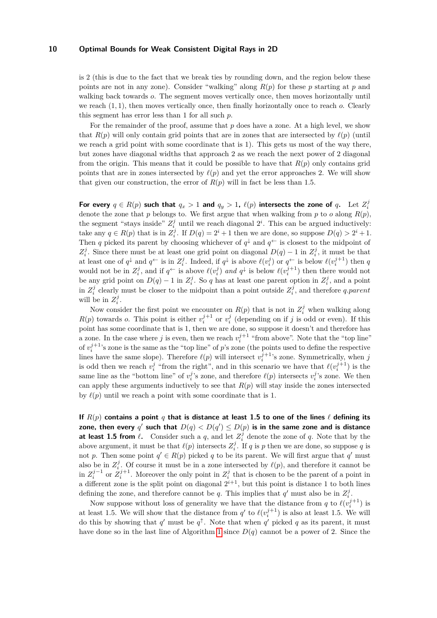is 2 (this is due to the fact that we break ties by rounding down, and the region below these points are not in any zone). Consider "walking" along *R*(*p*) for these *p* starting at *p* and walking back towards *o*. The segment moves vertically once, then moves horizontally until we reach (1*,* 1), then moves vertically once, then finally horizontally once to reach *o*. Clearly this segment has error less than 1 for all such *p*.

For the remainder of the proof, assume that p does have a zone. At a high level, we show that  $R(p)$  will only contain grid points that are in zones that are intersected by  $\ell(p)$  (until we reach a grid point with some coordinate that is 1). This gets us most of the way there, but zones have diagonal widths that approach 2 as we reach the next power of 2 diagonal from the origin. This means that it could be possible to have that  $R(p)$  only contains grid points that are in zones intersected by  $\ell(p)$  and yet the error approaches 2. We will show that given our construction, the error of  $R(p)$  will in fact be less than 1.5.

For every  $q \in R(p)$  such that  $q_x > 1$  and  $q_y > 1$ ,  $\ell(p)$  intersects the zone of q. Let  $Z_i^j$ denote the zone that *p* belongs to. We first argue that when walking from *p* to *o* along  $R(p)$ , the segment "stays inside"  $Z_i^j$  until we reach diagonal  $2^i$ . This can be argued inductively: take any  $q \in R(p)$  that is in  $Z_i^j$ . If  $D(q) = 2^i + 1$  then we are done, so suppose  $D(q) > 2^i + 1$ . Then *q* picked its parent by choosing whichever of  $q^{\downarrow}$  and  $q^{\leftarrow}$  is closest to the midpoint of  $Z_i^j$ . Since there must be at least one grid point on diagonal  $D(q) - 1$  in  $Z_i^j$ , it must be that at least one of  $q^{\downarrow}$  and  $q^{\leftarrow}$  is in  $Z_i^j$ . Indeed, if  $q^{\downarrow}$  is above  $\ell(v_i^j)$  or  $q^{\leftarrow}$  is below  $\ell(v_i^{j+1})$  then  $q$ would not be in  $Z_i^j$ , and if  $q^{\leftarrow}$  is above  $\ell(v_i^j)$  and  $q^{\downarrow}$  is below  $\ell(v_i^{j+1})$  then there would not be any grid point on  $D(q) - 1$  in  $Z_i^j$ . So *q* has at least one parent option in  $Z_i^j$ , and a point in  $Z_i^j$  clearly must be closer to the midpoint than a point outside  $Z_i^j$ , and therefore *q.parent* will be in  $Z_i^j$ .

Now consider the first point we encounter on  $R(p)$  that is not in  $Z_i^j$  when walking along  $R(p)$  towards *o*. This point is either  $v_i^{j+1}$  or  $v_i^j$  (depending on if *j* is odd or even). If this point has some coordinate that is 1, then we are done, so suppose it doesn't and therefore has a zone. In the case where *j* is even, then we reach  $v_i^{j+1}$  "from above". Note that the "top line" of  $v_i^{j+1}$ 's zone is the same as the "top line" of *p*'s zone (the points used to define the respective lines have the same slope). Therefore  $\ell(p)$  will intersect  $v_i^{j+1}$ 's zone. Symmetrically, when *j* is odd then we reach  $v_i^j$  "from the right", and in this scenario we have that  $\ell(v_i^{j+1})$  is the same line as the "bottom line" of  $v_i^j$ 's zone, and therefore  $\ell(p)$  intersects  $v_i^j$ 's zone. We then can apply these arguments inductively to see that *R*(*p*) will stay inside the zones intersected by  $\ell(p)$  until we reach a point with some coordinate that is 1.

**If**  $R(p)$  contains a point *q* that is distance at least 1.5 to one of the lines  $\ell$  defining its zone, then every  $q'$  such that  $D(q) < D(q') \leq D(p)$  is in the same zone and is distance **at least 1.5 from**  $\ell$ . Consider such a  $q$ , and let  $Z_i^j$  denote the zone of  $q$ . Note that by the above argument, it must be that  $\ell(p)$  intersects  $Z_i^j$ . If *q* is *p* then we are done, so suppose *q* is not p. Then some point  $q' \in R(p)$  picked q to be its parent. We will first argue that  $q'$  must also be in  $Z_i^j$ . Of course it must be in a zone intersected by  $\ell(p)$ , and therefore it cannot be in  $Z_i^{j-1}$  or  $Z_i^{j+1}$ . Moreover the only point in  $Z_i^j$  that is chosen to be the parent of a point in a different zone is the split point on diagonal  $2^{i+1}$ , but this point is distance 1 to both lines defining the zone, and therefore cannot be *q*. This implies that *q'* must also be in  $Z_i^j$ .

Now suppose without loss of generality we have that the distance from *q* to  $\ell(v_i^{j+1})$  is at least 1.5. We will show that the distance from  $q'$  to  $\ell(v_i^{j+1})$  is also at least 1.5. We will do this by showing that  $q'$  must be  $q^{\uparrow}$ . Note that when  $q'$  picked q as its parent, it must have done so in the last line of Algorithm [1](#page-8-0) since  $D(q)$  cannot be a power of 2. Since the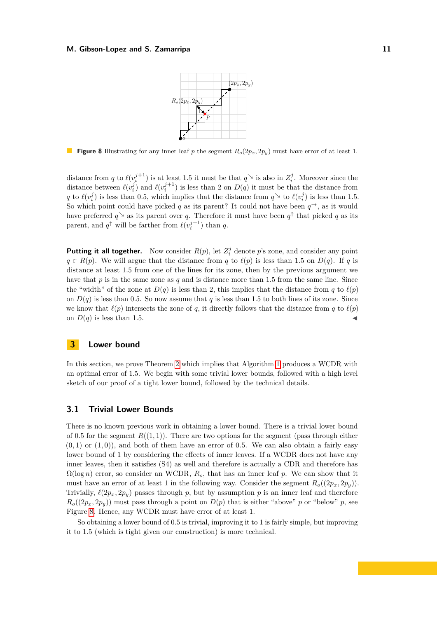

<span id="page-10-1"></span>**Figure 8** Illustrating for any inner leaf *p* the segment  $R_o(2p_x, 2p_y)$  must have error of at least 1.

distance from *q* to  $\ell(v_i^{j+1})$  is at least 1.5 it must be that  $q^{\searrow}$  is also in  $Z_i^j$ . Moreover since the distance between  $\ell(v_i^j)$  and  $\ell(v_i^{j+1})$  is less than 2 on  $D(q)$  it must be that the distance from *q* to  $\ell(v_i^j)$  is less than 0.5, which implies that the distance from  $q^{\searrow}$  to  $\ell(v_i^j)$  is less than 1.5. So which point could have picked *q* as its parent? It could not have been  $q^{\rightarrow}$ , as it would have preferred  $q^{\searrow}$  as its parent over q. Therefore it must have been  $q^{\uparrow}$  that picked q as its parent, and  $q^{\uparrow}$  will be farther from  $\ell(v_i^{j+1})$  than *q*.

**Putting it all together.** Now consider  $R(p)$ , let  $Z_i^j$  denote p's zone, and consider any point  $q \in R(p)$ . We will argue that the distance from *q* to  $\ell(p)$  is less than 1.5 on  $D(q)$ . If *q* is distance at least 1.5 from one of the lines for its zone, then by the previous argument we have that *p* is in the same zone as *q* and is distance more than 1.5 from the same line. Since the "width" of the zone at  $D(q)$  is less than 2, this implies that the distance from  $q$  to  $\ell(p)$ on  $D(q)$  is less than 0.5. So now assume that *q* is less than 1.5 to both lines of its zone. Since we know that  $\ell(p)$  intersects the zone of *q*, it directly follows that the distance from *q* to  $\ell(p)$ on  $D(q)$  is less than 1.5.

### <span id="page-10-0"></span>**3 Lower bound**

In this section, we prove Theorem [2](#page-5-2) which implies that Algorithm [1](#page-8-0) produces a WCDR with an optimal error of 1.5. We begin with some trivial lower bounds, followed with a high level sketch of our proof of a tight lower bound, followed by the technical details.

### **3.1 Trivial Lower Bounds**

There is no known previous work in obtaining a lower bound. There is a trivial lower bound of 0.5 for the segment  $R((1,1))$ . There are two options for the segment (pass through either  $(0,1)$  or  $(1,0)$ ), and both of them have an error of 0.5. We can also obtain a fairly easy lower bound of 1 by considering the effects of inner leaves. If a WCDR does not have any inner leaves, then it satisfies (S4) as well and therefore is actually a CDR and therefore has  $\Omega(\log n)$  error, so consider an WCDR,  $R_o$ , that has an inner leaf p. We can show that it must have an error of at least 1 in the following way. Consider the segment  $R_o((2p_x, 2p_y))$ . Trivially,  $\ell(2p_x, 2p_y)$  passes through *p*, but by assumption *p* is an inner leaf and therefore  $R_o((2p_x, 2p_y))$  must pass through a point on  $D(p)$  that is either "above" *p* or "below" *p*, see Figure [8.](#page-10-1) Hence, any WCDR must have error of at least 1.

So obtaining a lower bound of 0.5 is trivial, improving it to 1 is fairly simple, but improving it to 1.5 (which is tight given our construction) is more technical.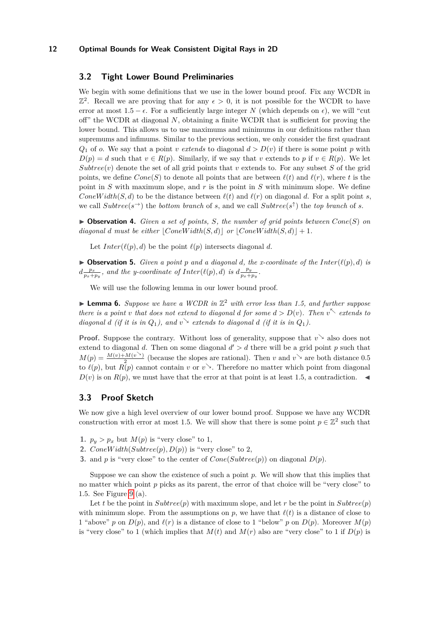### **3.2 Tight Lower Bound Preliminaries**

We begin with some definitions that we use in the lower bound proof. Fix any WCDR in  $\mathbb{Z}^2$ . Recall we are proving that for any  $\epsilon > 0$ , it is not possible for the WCDR to have error at most  $1.5 - \epsilon$ . For a sufficiently large integer N (which depends on  $\epsilon$ ), we will "cut off" the WCDR at diagonal *N*, obtaining a finite WCDR that is sufficient for proving the lower bound. This allows us to use maximums and minimums in our definitions rather than supremums and infimums. Similar to the previous section, we only consider the first quadrant  $Q_1$  of *o*. We say that a point *v extends* to diagonal  $d > D(v)$  if there is some point *p* with  $D(p) = d$  such that  $v \in R(p)$ . Similarly, if we say that *v* extends to *p* if  $v \in R(p)$ . We let  $Subtree(v)$  denote the set of all grid points that *v* extends to. For any subset *S* of the grid points, we define  $Cone(S)$  to denote all points that are between  $\ell(t)$  and  $\ell(r)$ , where t is the point in *S* with maximum slope, and *r* is the point in *S* with minimum slope. We define *ConeWidth*(*S, d*) to be the distance between  $\ell(t)$  and  $\ell(r)$  on diagonal *d*. For a split point *s*, we call  $Subtree(s^{\rightarrow})$  the *bottom branch* of *s*, and we call  $Subtree(s^{\uparrow})$  the *top branch* of *s*.

<span id="page-11-0"></span> $\triangleright$  **Observation 4.** *Given a set of points, S, the number of grid points between*  $Cone(S)$  *on*  $diagonal\ d\ must\ be\ either\ |ConeWidth(S, d)||\ or\ |ConeWidth(S, d)|| + 1.$ 

Let  $Inter(\ell(p), d)$  be the point  $\ell(p)$  intersects diagonal *d*.

<span id="page-11-2"></span> $\triangleright$  **Observation 5.** *Given a point p and a diagonal d, the x-coordinate of the Inter*( $\ell(p), d$ ) *is*  $d\frac{p_x}{p_x+p_y}$ , and the y-coordinate of Inter( $\ell(p), d$ ) is  $d\frac{p_y}{p_x+1}$  $\frac{p_y}{p_x+p_y}$ .

We will use the following lemma in our lower bound proof.

<span id="page-11-1"></span>▶ **Lemma 6.** Suppose we have a WCDR in  $\mathbb{Z}^2$  with error less than 1.5, and further suppose *there is a point v that does not extend to diagonal d for some*  $d > D(v)$ *. Then*  $v^{\nwarrow}$  *extends to diagonal d* (*if it is in*  $Q_1$ *), and*  $v \rightarrow$  *extends to diagonal d* (*if it is in*  $Q_1$ *).* 

**Proof.** Suppose the contrary. Without loss of generality, suppose that  $v^{\searrow}$  also does not extend to diagonal *d*. Then on some diagonal  $d' > d$  there will be a grid point *p* such that  $M(p) = \frac{M(v) + M(v^{\searrow})}{2}$  (because the slopes are rational). Then *v* and  $v^{\searrow}$  are both distance 0.5 to  $\ell(p)$ , but  $R(p)$  cannot contain *v* or  $v^{\searrow}$ . Therefore no matter which point from diagonal  $D(v)$  is on  $R(p)$ , we must have that the error at that point is at least 1.5, a contradiction.

### **3.3 Proof Sketch**

We now give a high level overview of our lower bound proof. Suppose we have any WCDR construction with error at most 1.5. We will show that there is some point  $p \in \mathbb{Z}^2$  such that

- **1.**  $p_y > p_x$  but  $M(p)$  is "very close" to 1,
- **2.** *ConeWidth*( $Subtree(p), D(p)$ ) is "very close" to 2,
- **3.** and *p* is "very close" to the center of  $Cone(Subre(p))$  on diagonal  $D(p)$ .

Suppose we can show the existence of such a point *p*. We will show that this implies that no matter which point *p* picks as its parent, the error of that choice will be "very close" to 1.5. See Figure [9](#page-12-0) (a).

Let *t* be the point in  $Subtree(p)$  with maximum slope, and let *r* be the point in  $Subtree(p)$ with minimum slope. From the assumptions on  $p$ , we have that  $\ell(t)$  is a distance of close to 1 "above" *p* on  $D(p)$ , and  $\ell(r)$  is a distance of close to 1 "below" *p* on  $D(p)$ . Moreover  $M(p)$ is "very close" to 1 (which implies that  $M(t)$  and  $M(r)$  also are "very close" to 1 if  $D(p)$  is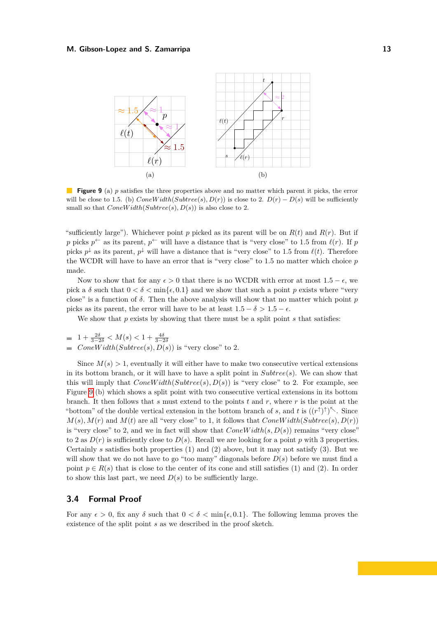<span id="page-12-0"></span>

**Figure 9** (a) p satisfies the three properties above and no matter which parent it picks, the error will be close to 1.5. (b)  $ConeWidth(Subre(s), D(r))$  is close to 2.  $D(r) - D(s)$  will be sufficiently small so that  $ConeWidth(Subtree(s), D(s))$  is also close to 2.

"sufficiently large"). Whichever point p picked as its parent will be on  $R(t)$  and  $R(r)$ . But if *p* picks  $p^{\leftarrow}$  as its parent,  $p^{\leftarrow}$  will have a distance that is "very close" to 1.5 from  $\ell(r)$ . If *p* picks  $p^{\downarrow}$  as its parent,  $p^{\downarrow}$  will have a distance that is "very close" to 1.5 from  $\ell(t)$ . Therefore the WCDR will have to have an error that is "very close" to 1.5 no matter which choice *p* made.

Now to show that for any  $\epsilon > 0$  that there is no WCDR with error at most  $1.5 - \epsilon$ , we pick a  $\delta$  such that  $0 < \delta < \min{\{\epsilon, 0.1\}}$  and we show that such a point p exists where "very close" is a function of *δ*. Then the above analysis will show that no matter which point *p* picks as its parent, the error will have to be at least  $1.5 - \delta > 1.5 - \epsilon$ .

We show that *p* exists by showing that there must be a split point *s* that satisfies:

$$
1 + \frac{2\delta}{3 - 2\delta} < M(s) < 1 + \frac{4\delta}{3 - 2\delta}
$$

 $ConeWidth(Subtree(s), D(s))$  is "very close" to 2.

Since  $M(s) > 1$ , eventually it will either have to make two consecutive vertical extensions in its bottom branch, or it will have to have a split point in *Subtree*(*s*). We can show that this will imply that  $ConeWidth(Sulture(s), D(s))$  is "very close" to 2. For example, see Figure [9](#page-12-0) (b) which shows a split point with two consecutive vertical extensions in its bottom branch. It then follows that *s* must extend to the points *t* and *r*, where *r* is the point at the "bottom" of the double vertical extension in the bottom branch of *s*, and *t* is  $((r<sup>\uparrow</sup>)<sup>\uparrow</sup>)<sup>\nwarrow</sup>$ . Since  $M(s)$ ,  $M(r)$  and  $M(t)$  are all "very close" to 1, it follows that  $ConeWidth(Subre(s), D(r))$ is "very close" to 2, and we in fact will show that  $ConeWidth(s, D(s))$  remains "very close" to 2 as  $D(r)$  is sufficiently close to  $D(s)$ . Recall we are looking for a point p with 3 properties. Certainly *s* satisfies both properties (1) and (2) above, but it may not satisfy (3). But we will show that we do not have to go "too many" diagonals before *D*(*s*) before we must find a point  $p \in R(s)$  that is close to the center of its cone and still satisfies (1) and (2). In order to show this last part, we need  $D(s)$  to be sufficiently large.

### **3.4 Formal Proof**

For any  $\epsilon > 0$ , fix any  $\delta$  such that  $0 < \delta < \min{\epsilon, 0.1}$ . The following lemma proves the existence of the split point *s* as we described in the proof sketch.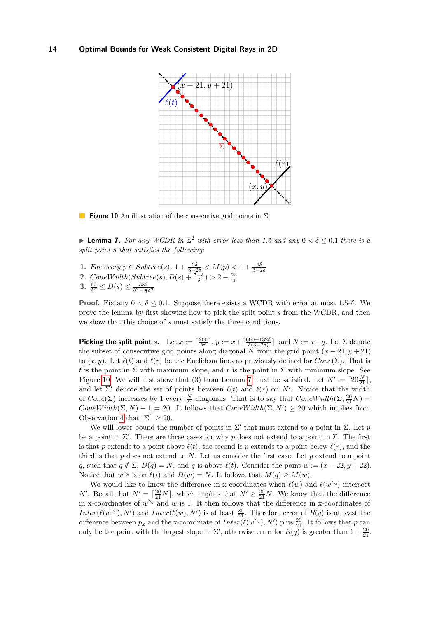<span id="page-13-0"></span>

**Figure 10** An illustration of the consecutive grid points in Σ.

▶ **Lemma 7.** *For any WCDR in*  $\mathbb{Z}^2$  *with error less than* 1.5 *and any*  $0 < \delta \leq 0.1$  *there is a split point s that satisfies the following:*

- 1. For every  $p \in Subtree(s), 1 + \frac{2\delta}{3-2\delta} < M(p) < 1 + \frac{4\delta}{3-2\delta}$ <br>
2. ConeWidth(Subtree(s),  $D(s) + \frac{7+\delta}{\delta} > 2 \frac{2\delta}{3}$ <br>
3.  $\frac{63}{\delta^2} \le D(s) \le \frac{382}{\delta^2 \frac{2}{3}\delta^3}$
- 
- <span id="page-13-1"></span>

**Proof.** Fix any  $0 < \delta \leq 0.1$ . Suppose there exists a WCDR with error at most 1.5- $\delta$ . We prove the lemma by first showing how to pick the split point *s* from the WCDR, and then we show that this choice of *s* must satisfy the three conditions.

**Picking the split point** *s*. Let  $x := \left[\frac{200}{\delta^2}\right], y := x + \left[\frac{600 - 182\delta}{\delta(3 - 2\delta)}\right]$ , and  $N := x + y$ . Let  $\Sigma$  denote the subset of consecutive grid points along diagonal  $\tilde{N}$  from the grid point  $(x - 21, y + 21)$ to  $(x, y)$ . Let  $\ell(t)$  and  $\ell(r)$  be the Euclidean lines as previously defined for  $Cone(\Sigma)$ . That is *t* is the point in  $\Sigma$  with maximum slope, and *r* is the point in  $\Sigma$  with minimum slope. See Figure [10.](#page-13-0) We will first show that (3) from Lemma [7](#page-13-1) must be satisfied. Let  $N' := \lceil 20\frac{N}{21} \rceil$ , and let  $\Sigma'$  denote the set of points between  $\ell(t)$  and  $\ell(r)$  on  $N'$ . Notice that the width of  $Cone(\Sigma)$  increases by 1 every  $\frac{N}{21}$  diagonals. That is to say that  $ConeWidth(\Sigma, \frac{20}{21}N)$  $ConeWidth(\Sigma, N) - 1 = 20$ . It follows that  $ConeWidth(\Sigma, N') \ge 20$  which implies from Observation [4](#page-11-0) that  $|\Sigma'| \geq 20$ .

We will lower bound the number of points in  $\Sigma'$  that must extend to a point in  $\Sigma$ . Let p be a point in  $\Sigma'$ . There are three cases for why *p* does not extend to a point in  $\Sigma$ . The first is that *p* extends to a point above  $\ell(t)$ , the second is *p* extends to a point below  $\ell(r)$ , and the third is that  $p$  does not extend to  $N$ . Let us consider the first case. Let  $p$  extend to a point *q*, such that  $q \notin \Sigma$ ,  $D(q) = N$ , and *q* is above  $\ell(t)$ . Consider the point  $w := (x - 22, y + 22)$ . Notice that  $w^{\searrow}$  is on  $\ell(t)$  and  $D(w) = N$ . It follows that  $M(q) \geq M(w)$ .

We would like to know the difference in x-coordinates when  $\ell(w)$  and  $\ell(w)$  intersect *N'*. Recall that  $N' = \lceil \frac{20}{21} N \rceil$ , which implies that  $N' \geq \frac{20}{21} N$ . We know that the difference in x-coordinates of  $w^{\searrow}$  and  $w$  is 1. It then follows that the difference in x-coordinates of *Inter*( $\ell(w^{\searrow}), N'$ ) and *Inter*( $\ell(w), N'$ ) is at least  $\frac{20}{21}$ . Therefore error of *R*(*q*) is at least the difference between  $p_x$  and the x-coordinate of  $Inter(\ell(w^{\searrow}), N')$  plus  $\frac{20}{21}$ . It follows that  $p$  can only be the point with the largest slope in  $\Sigma'$ , otherwise error for  $R(q)$  is greater than  $1 + \frac{20}{21}$ .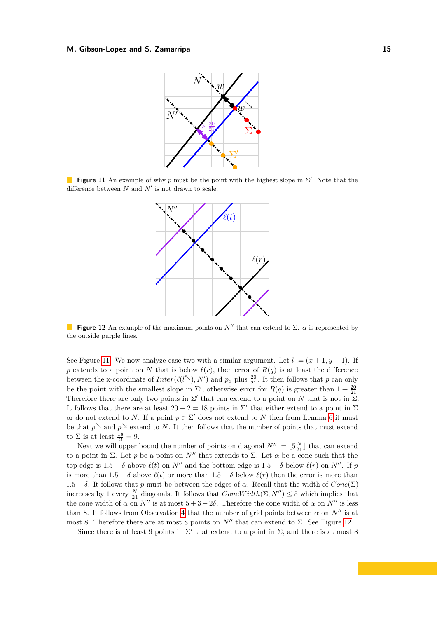<span id="page-14-0"></span>

<span id="page-14-1"></span>**Figure 11** An example of why *p* must be the point with the highest slope in  $\Sigma'$ . Note that the difference between  $N$  and  $N'$  is not drawn to scale.



**Figure 12** An example of the maximum points on  $N''$  that can extend to  $\Sigma$ .  $\alpha$  is represented by the outside purple lines.

See Figure [11.](#page-14-0) We now analyze case two with a similar argument. Let  $l := (x + 1, y - 1)$ . If *p* extends to a point on *N* that is below  $\ell(r)$ , then error of  $R(q)$  is at least the difference between the x-coordinate of  $Inter(\ell(l^{\nwarrow}), N')$  and  $p_x$  plus  $\frac{20}{21}$ . It then follows that *p* can only be the point with the smallest slope in  $\Sigma'$ , otherwise error for  $R(q)$  is greater than  $1 + \frac{20}{21}$ . Therefore there are only two points in  $\Sigma'$  that can extend to a point on *N* that is not in  $\Sigma$ . It follows that there are at least  $20 - 2 = 18$  points in  $\Sigma'$  that either extend to a point in  $\Sigma$ or do not extend to *N*. If a point  $p \in \Sigma'$  does not extend to *N* then from Lemma [6](#page-11-1) it must be that  $p^{\wedge}$  and  $p^{\wedge}$  extend to *N*. It then follows that the number of points that must extend to  $\Sigma$  is at least  $\frac{18}{2} = 9$ .

Next we will upper bound the number of points on diagonal  $N'' := \lfloor 5\frac{N}{21} \rfloor$  that can extend to a point in Σ. Let *p* be a point on *N''* that extends to Σ. Let *α* be a cone such that the top edge is  $1.5 - \delta$  above  $\ell(t)$  on  $N''$  and the bottom edge is  $1.5 - \delta$  below  $\ell(r)$  on  $N''$ . If *p* is more than  $1.5 - \delta$  above  $\ell(t)$  or more than  $1.5 - \delta$  below  $\ell(r)$  then the error is more than 1.5  $-\delta$ . It follows that *p* must be between the edges of  $\alpha$ . Recall that the width of  $Cone(\Sigma)$ increases by 1 every  $\frac{N}{21}$  diagonals. It follows that  $ConeWidth(\Sigma, N'') \leq 5$  which implies that the cone width of  $\alpha$  on *N''* is at most  $5+3-2\delta$ . Therefore the cone width of  $\alpha$  on *N''* is less than 8. It follows from Observation [4](#page-11-0) that the number of grid points between  $\alpha$  on  $N''$  is at most 8. Therefore there are at most 8 points on *N*′′ that can extend to Σ. See Figure [12.](#page-14-1)

Since there is at least 9 points in  $\Sigma'$  that extend to a point in  $\Sigma$ , and there is at most 8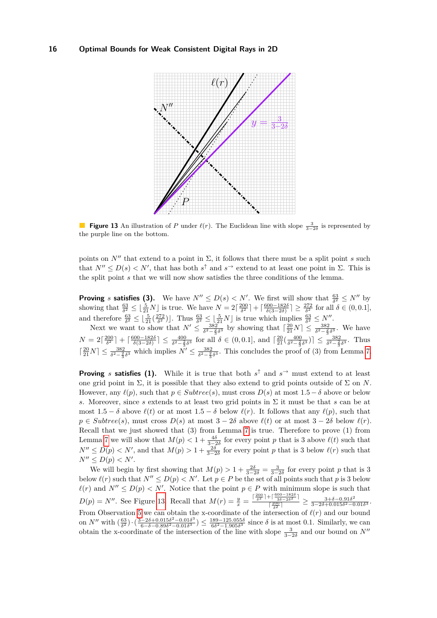<span id="page-15-0"></span>

**Figure 13** An illustration of *P* under  $\ell(r)$ . The Euclidean line with slope  $\frac{3}{3-2\delta}$  is represented by the purple line on the bottom.

points on  $N''$  that extend to a point in  $\Sigma$ , it follows that there must be a split point *s* such that  $N'' \leq D(s) < N'$ , that has both  $s^{\uparrow}$  and  $s^{\rightarrow}$  extend to at least one point in  $\Sigma$ . This is the split point *s* that we will now show satisfies the three conditions of the lemma.

**Proving** *s* **satisfies (3).** We have  $N'' \leq D(s) < N'$ . We first will show that  $\frac{63}{\delta^2} \leq N''$  by showing that  $\frac{63}{\delta^2} \leq \left\lfloor \frac{5}{21}N \right\rfloor$  is true. We have  $N = 2\left\lceil \frac{200}{\delta^2} \right\rceil + \left\lceil \frac{600 - 182\delta}{\delta(3 - 2\delta)} \right\rceil \geq \frac{272}{\delta^2}$  for all  $\delta \in (0, 0.1]$ , and therefore  $\frac{63}{\delta^2} \leq \left\lfloor \frac{5}{21} \left( \frac{272}{\delta^2} \right) \right\rfloor$ . Thus  $\frac{63}{\delta^2} \leq \left\lfloor \frac{5}{21} N \right\rfloor$  is true which implies  $\frac{63}{\delta^2} \leq N''$ .

Next we want to show that  $N' \leq \frac{382}{\delta^2 - \frac{2}{3}\delta^3}$  by showing that  $\left[\frac{20}{21}N\right] \leq \frac{382}{\delta^2 - \frac{2}{3}\delta^3}$ . We have  $N = 2\lceil \frac{200}{\delta^2} \rceil + \lceil \frac{600 - 182\delta}{\delta(3 - 2\delta)} \rceil \le \frac{400}{\delta^2 - \frac{2}{3}\delta^3}$  for all  $\delta \in (0, 0.1]$ , and  $\lceil \frac{20}{21}(\frac{400}{\delta^2 - \frac{2}{3}\delta^3}) \rceil \le \frac{382}{\delta^2 - \frac{2}{3}\delta^3}$ . Thus  $\lceil \frac{20}{21} N \rceil \leq \frac{382}{\delta^2 - \frac{2}{3} \delta^3}$  which implies  $N' \leq \frac{382}{\delta^2 - \frac{2}{3} \delta^3}$ . This concludes the proof of (3) from Lemma [7.](#page-13-1)

**Proving** *s* **satisfies (1).** While it is true that both  $s^{\uparrow}$  and  $s^{\rightarrow}$  must extend to at least one grid point in  $\Sigma$ , it is possible that they also extend to grid points outside of  $\Sigma$  on *N*. However, any  $\ell(p)$ , such that  $p \in Subtree(s)$ , must cross  $D(s)$  at most  $1.5 - \delta$  above or below *s*. Moreover, since *s* extends to at least two grid points in Σ it must be that *s* can be at most  $1.5 - \delta$  above  $\ell(t)$  or at most  $1.5 - \delta$  below  $\ell(r)$ . It follows that any  $\ell(p)$ , such that  $p \in Sulture(s)$ , must cross  $D(s)$  at most  $3 - 2\delta$  above  $\ell(t)$  or at most  $3 - 2\delta$  below  $\ell(r)$ . Recall that we just showed that (3) from Lemma [7](#page-13-1) is true. Therefore to prove (1) from Lemma [7](#page-13-1) we will show that  $M(p) < 1 + \frac{4\delta}{3-2\delta}$  for every point *p* that is 3 above  $\ell(t)$  such that  $N'' \leq D(p) < N'$ , and that  $M(p) > 1 + \frac{2\delta}{3-2\delta}$  for every point *p* that is 3 below  $\ell(r)$  such that  $N'' \leq D(p) < N'$ .

We will begin by first showing that  $M(p) > 1 + \frac{2\delta}{3-2\delta} = \frac{3}{3-2\delta}$  for every point *p* that is 3 below  $\ell(r)$  such that  $N'' \le D(p) < N'$ . Let  $p \in P$  be the set of all points such that p is 3 below  $\ell(r)$  and  $N'' \leq D(p) < N'$ . Notice that the point  $p \in P$  with minimum slope is such that  $D(p) = N''$ . See Figure [13.](#page-15-0) Recall that  $M(r) = \frac{y}{x} = \frac{\lceil \frac{200}{\delta^2} \rceil + \lceil \frac{600 - 182\delta}{3^2 - 2\delta^2} \rceil}{\lceil \frac{200}{\delta^2} \rceil}$  $\frac{1+\left\lceil \frac{3\delta-2\delta^2}{3\delta-2\delta^2} \right\rceil}{\left\lceil \frac{200}{\delta^2} \right\rceil} \ge \frac{3+\delta-0.91\delta^2}{3-2\delta+0.015\delta^2-0}$  $\frac{3+\delta-0.91\delta^2}{3-2\delta+0.015\delta^2-0.01\delta^3}.$ From Observation [5](#page-11-2) we can obtain the x-coordinate of the intersection of *ℓ*(*r*) and our bound on *N*<sup>*''*</sup> with  $\left(\frac{63}{\delta^2}\right) \cdot \left(\frac{3-2\delta+0.015\delta^2-0.01\delta^3}{6-\delta-0.89\delta^2-0.01\delta^3}\right)$  $\frac{-2\delta + 0.015\delta^2 - 0.01\delta^3}{6-\delta - 0.89\delta^2 - 0.01\delta^3}$   $\leq \frac{189 - 125.055\delta}{6\delta^2 - 1.905\delta^3}$  since  $\delta$  is at most 0.1. Similarly, we can obtain the x-coordinate of the intersection of the line with slope  $\frac{3}{3-2\delta}$  and our bound on *N*<sup>''</sup>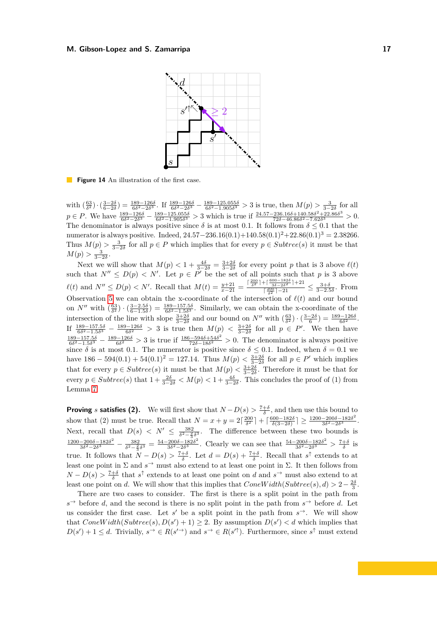<span id="page-16-0"></span>

**Figure 14** An illustration of the first case.

with  $\left(\frac{63}{\delta^2}\right) \cdot \left(\frac{3-2\delta}{6-2\delta}\right) = \frac{189-126\delta}{6\delta^2-2\delta^3}$ . If  $\frac{189-126\delta}{6\delta^2-2\delta^3} - \frac{189-125.055\delta}{6\delta^2-1.905\delta^3} > 3$  is true, then  $M(p) > \frac{3}{3-2\delta}$  for all  $p \in P$ . We have  $\frac{189-126\delta}{6\delta^2-2\delta^3} - \frac{189-125.055\delta}{6\delta^2-1.905\delta^3} > 3$  which is true if  $\frac{24.57-236.16\delta+140.58\delta^2+22.86\delta^3}{72\delta-46.86\delta^2-7.62\delta^3}$  $\frac{7236.16\delta + 140.58\delta^2 + 22.86\delta^3}{72\delta - 46.86\delta^2 - 7.62\delta^3} > 0.$ The denominator is always positive since  $\delta$  is at most 0.1. It follows from  $\delta \leq 0.1$  that the numerator is always positive. Indeed, 24*.*57−236*.*16(0*.*1)+140*.*58(0*.*1)2+22*.*86(0*.*1)<sup>3</sup> = 2*.*38266. Thus  $M(p) > \frac{3}{3-2\delta}$  for all  $p \in P$  which implies that for every  $p \in Subtree(s)$  it must be that  $M(p) > \frac{3}{3-2\delta}.$ 

 $\lim_{x \to 2} \frac{3-2\delta}{2}$ .<br>Next we will show that  $M(p) < 1 + \frac{4\delta}{3-2\delta} = \frac{3+2\delta}{3-2\delta}$  for every point *p* that is 3 above  $\ell(t)$ such that  $N'' \leq D(p) < N'$ . Let  $p \in P'$  be the set of all points such that p is 3 above  $\ell(t)$  and  $N'' \leq D(p) < N'$ . Recall that  $M(t) = \frac{y+21}{x-21} = \frac{\lceil \frac{200}{\delta^2} \rceil + \lceil \frac{600-182\delta}{\delta^2 - \delta^2} \rceil + 21}{\lceil \frac{200}{\delta} \rceil - 21}$  $\frac{\frac{7}{6} - \frac{3\delta - 2\delta^2}{3\delta - 2\delta^2} + 1 + 24}{\frac{200}{\delta^2} - 21}$  ≤  $\frac{3 + \delta}{3 - 2.5\delta}$ . From Observation [5](#page-11-2) we can obtain the x-coordinate of the intersection of  $\ell(t)$  and our bound on  $N''$  with  $\left(\frac{63}{\delta^2}\right) \cdot \left(\frac{3-2.5\delta}{6-1.5\delta}\right) = \frac{189-157.5\delta}{6\delta^2-1.5\delta^3}$ . Similarly, we can obtain the x-coordinate of the intersection of the line with slope  $\frac{3+2\delta}{3-2\delta}$  and our bound on  $N''$  with  $\left(\frac{63}{\delta^2}\right) \cdot \left(\frac{3-2\delta}{6}\right) = \frac{189-126\delta}{6\delta^2}$ . If  $\frac{189-157.5\delta}{6\delta^2-1.5\delta^3} - \frac{189-126\delta}{6\delta^2} > 3$  is true then  $M(p) < \frac{3+2\delta}{3-2\delta}$  for all  $p \in P'$ . We then have  $\frac{189-157.55}{6δ^2-1.5δ^3}$  −  $\frac{189-126δ}{6δ^2}$  > 3 is true if  $\frac{186-594δ+54δ^2}{72δ-18δ^2}$  $\frac{5-5940+540^2}{72\delta-18\delta^2} > 0$ . The denominator is always positive since  $\delta$  is at most 0.1. The numerator is positive since  $\delta \leq 0.1$ . Indeed, when  $\delta = 0.1$  we have  $186 - 594(0.1) + 54(0.1)^2 = 127.14$ . Thus  $M(p) < \frac{3+2\delta}{3-2\delta}$  for all  $p \in P'$  which implies that for every  $p \in Subtree(s)$  it must be that  $M(p) < \frac{3+2\delta}{3-2\delta}$ . Therefore it must be that for every  $p \in Subtree(s)$  that  $1 + \frac{2\delta}{3-2\delta} < M(p) < 1 + \frac{4\delta}{3-2\delta}$ . This concludes the proof of (1) from Lemma [7.](#page-13-1)

**Proving** *s* **satisfies (2).** We will first show that  $N - D(s) > \frac{7+\delta}{\delta}$ , and then use this bound to show that (2) must be true. Recall that  $N = x + y = 2\left[\frac{200}{\delta^2}\right] + \left[\frac{600 - 182\delta}{\delta(3 - 2\delta)}\right] \ge \frac{1200 - 200\delta - 182\delta^2}{3\delta^2 - 2\delta^3}$  $\frac{-2000-182δ^2}{3δ^2-2δ^3}$ . Next, recall that  $D(s) < N' \leq \frac{382}{\delta^2 - \frac{2}{3}\delta^3}$ . The difference between these two bounds is  $1200-200δ-182δ<sup>2</sup>$  382 − 54-200δ-182  $\frac{-200\delta - 182\delta^2}{3\delta^2 - 2\delta^3} - \frac{382}{\delta^2 - \frac{2}{3}\delta^3} = \frac{54 - 200\delta - 182\delta^2}{3\delta^2 - 2\delta^3}$  $\frac{200\delta - 182\delta^2}{3\delta^2 - 2\delta^3}$ . Clearly we can see that  $\frac{54 - 200\delta - 182\delta^2}{3\delta^2 - 2\delta^3}$  $\frac{-200\delta - 182\delta^2}{3\delta^2 - 2\delta^3}$  >  $\frac{7+\delta}{\delta}$  is true. It follows that  $N - D(s) > \frac{7+\delta}{\delta}$ . Let  $d = D(s) + \frac{7+\delta}{\delta}$ . Recall that  $s^{\uparrow}$  extends to at least one point in  $\Sigma$  and  $s^{\rightarrow}$  must also extend to at least one point in  $\Sigma$ . It then follows from  $N - D(s) > \frac{7+\delta}{\delta}$  that  $s^{\uparrow}$  extends to at least one point on *d* and  $s^{\rightarrow}$  must also extend to at least one point on *d*. We will show that this implies that  $ConeWidth(Subre(s), d) > 2-\frac{2\delta}{3}$ .

There are two cases to consider. The first is there is a split point in the path from  $s \rightarrow$  before *d*, and the second is there is no split point in the path from  $s \rightarrow$  before *d*. Let us consider the first case. Let  $s'$  be a split point in the path from  $s^{\rightarrow}$ . We will show that  $ConeWidth(Subtree(s), D(s') + 1) \geq 2$ . By assumption  $D(s') < d$  which implies that  $D(s') + 1 \leq d$ . Trivially,  $s^{\rightarrow} \in R(s'^{\rightarrow})$  and  $s^{\rightarrow} \in R(s'^{\uparrow})$ . Furthermore, since  $s^{\uparrow}$  must extend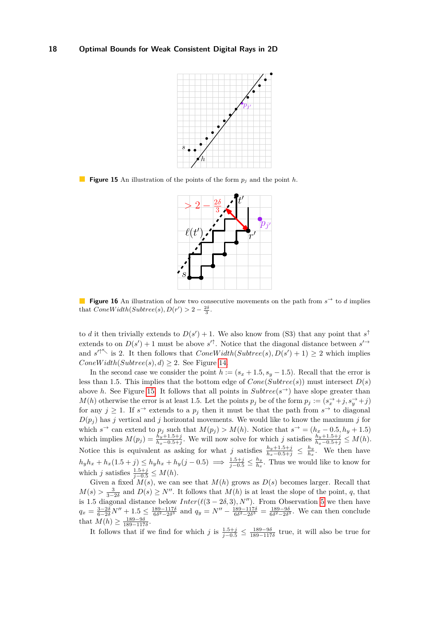<span id="page-17-0"></span>

<span id="page-17-1"></span>**Figure 15** An illustration of the points of the form *p<sup>j</sup>* and the point *h*.



**Figure 16** An illustration of how two consecutive movements on the path from  $s^{\rightarrow}$  to *d* implies that  $ConeWidth(Subre(s), D(r') > 2 - \frac{2\delta}{3})$ .

to *d* it then trivially extends to  $D(s') + 1$ . We also know from (S3) that any point that  $s^{\uparrow}$ extends to on  $D(s') + 1$  must be above  $s'^{\uparrow}$ . Notice that the diagonal distance between  $s'^{\rightarrow}$ and  $s'^{\uparrow \nwarrow}$  is 2. It then follows that  $ConeWidth(Subtree(s), D(s') + 1) \geq 2$  which implies *ConeWidth*( $Subtree(s), d$ ) ≥ 2. See Figure [14.](#page-16-0)

In the second case we consider the point  $h := (s_x + 1.5, s_y - 1.5)$ . Recall that the error is less than 1.5. This implies that the bottom edge of  $Cone(Subtree(s))$  must intersect  $D(s)$ above *h*. See Figure [15.](#page-17-0) It follows that all points in  $Subtree(s^{\rightarrow})$  have slope greater than *M*(*h*) otherwise the error is at least 1.5. Let the points  $p_j$  be of the form  $p_j := (s_x^{\rightarrow} + j, s_y^{\rightarrow} + j)$ for any  $j \geq 1$ . If  $s \rightarrow$  extends to a  $p_j$  then it must be that the path from  $s \rightarrow$  to diagonal  $D(p_j)$  has *j* vertical and *j* horizontal movements. We would like to know the maximum *j* for which  $s^{\rightarrow}$  can extend to  $p_j$  such that  $M(p_j) > M(h)$ . Notice that  $s^{\rightarrow} = (h_x - 0.5, h_y + 1.5)$ which implies  $M(p_j) = \frac{h_y + 1.5 + j}{h_x - 0.5 + j}$ . We will now solve for which j satisfies  $\frac{h_y + 1.5 + j}{h_x - 0.5 + j} \leq M(h)$ . Notice this is equivalent as asking for what *j* satisfies  $\frac{h_y+1.5+j}{h_x-0.5+j} \leq \frac{h_y}{h_x}$  $\frac{h_y}{h_x}$ . We then have  $h_y h_x + h_x (1.5 + j) \le h_y h_x + h_y (j - 0.5) \implies \frac{1.5 + j}{j - 0.5} \le \frac{h_y}{h_x}$  $\frac{h_y}{h_x}$ . Thus we would like to know for which *j* satisfies  $\frac{1.5+j}{j-0.5} \leq M(h)$ .

Given a fixed  $M(s)$ , we can see that  $M(h)$  grows as  $D(s)$  becomes larger. Recall that *M*(*s*) >  $\frac{3}{3-2\delta}$  and *D*(*s*) ≥ *N*<sup>′′</sup>. It follows that *M*(*h*) is at least the slope of the point, *q*, that is 1.5 diagonal distance below  $Inter(\ell(3-2\delta,3), N'')$ . From Observation [5](#page-11-2) we then have  $q_x = \frac{3-2\delta}{6-2\delta}N'' + 1.5 \leq \frac{189-117\delta}{6\delta^2-2\delta^3}$  and  $q_y = N'' - \frac{189-117\delta}{6\delta^2-2\delta^3} = \frac{189-9\delta}{6\delta^2-2\delta^3}$ . We can then conclude that  $M(h) \ge \frac{189 - 9\delta}{189 - 117\delta}$ .

It follows that if we find for which  $j$  is  $\frac{1.5+j}{j-0.5} \leq \frac{189-9\delta}{189-117\delta}$  true, it will also be true for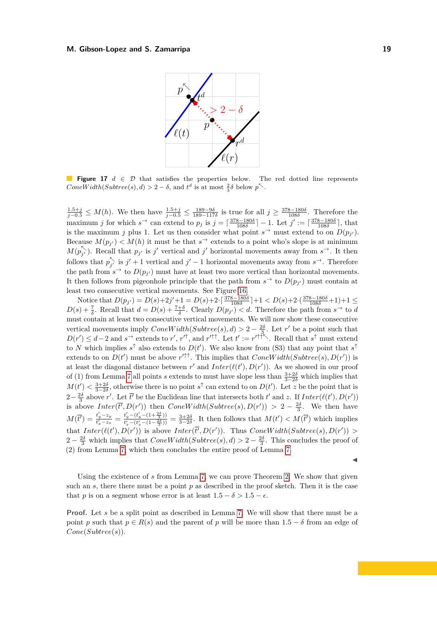<span id="page-18-0"></span>

**Figure 17** *d* ∈ D that satisfies the properties below. The red dotted line represents  $ConeWidth(Subre(s), d) > 2 - \delta$ , and  $t^d$  is at most  $\frac{2}{3}\delta$  below  $p^{\nwarrow}$ .

 $\frac{1.5+j}{j-0.5}$  ≤ *M*(*h*). We then have  $\frac{1.5+j}{j-0.5}$  ≤  $\frac{189-9δ}{189-117δ}$  is true for all  $j \ge \frac{378-180δ}{108δ}$ . Therefore the maximum *j* for which  $s^{\rightarrow}$  can extend to  $p_j$  is  $j = \lceil \frac{378-180\delta}{108\delta} \rceil - 1$ . Let  $j' := \lceil \frac{378-180\delta}{108\delta} \rceil$ , that is the maximum *j* plus 1. Let us then consider what point  $s^{\rightarrow}$  must extend to on  $D(p_{j'})$ . Because  $M(p_{j'}) < M(h)$  it must be that  $s^{\rightarrow}$  extends to a point who's slope is at minimum  $M(p_{j'}^{\lt} )$ . Recall that  $p_{j'}$  is *j*' vertical and *j'* horizontal movements away from  $s^{\rightarrow}$ . It then follows that  $p_{j'}^{\nwarrow}$  is  $j' + 1$  vertical and  $j' - 1$  horizontal movements away from  $s^{\rightharpoonup}$ . Therefore the path from  $s^{\rightarrow}$  to  $D(p_{j'})$  must have at least two more vertical than horizontal movements. It then follows from pigeonhole principle that the path from  $s^{\rightarrow}$  to  $D(p_{j'})$  must contain at least two consecutive vertical movements. See Figure [16.](#page-17-1)

Notice that  $D(p_{j'}) = D(s)+2j'+1 = D(s)+2\cdot\left[\frac{378-180\delta}{108\delta}\right]+1 < D(s)+2\cdot\left(\frac{378-180\delta}{108\delta}+1\right)+1 \leq$  $D(s) + \frac{7}{\delta}$ . Recall that  $d = D(s) + \frac{7+\delta}{\delta}$ . Clearly  $D(p_{j'}) < d$ . Therefore the path from  $s^{\to}$  to *d* must contain at least two consecutive vertical movements. We will now show these consecutive vertical movements imply  $ConeWidth(Subree(s), d) > 2 - \frac{2\delta}{3}$ . Let r' be a point such that  $D(r') \leq d-2$  and  $s^{\rightarrow}$  extends to *r*',  $r'^{\uparrow}$ , and  $r'^{\uparrow\uparrow}$ . Let  $t' := r'^{\uparrow\uparrow\uparrow}$ . Recall that  $s^{\uparrow}$  must extend to *N* which implies  $s^{\uparrow}$  also extends to  $D(t')$ . We also know from (S3) that any point that  $s^{\uparrow}$ extends to on  $D(t')$  must be above  $r'^{\uparrow\uparrow}$ . This implies that  $ConeWidth(Subtree(s), D(r'))$  is at least the diagonal distance between  $r'$  and  $Inter(\ell(t'), D(r'))$ . As we showed in our proof of (1) from Lemma [7](#page-13-1) all points *s* extends to must have slope less than  $\frac{3+2\delta}{3-2\delta}$  which implies that  $M(t') < \frac{3+2\delta}{3-2\delta}$ , otherwise there is no point  $s^{\uparrow}$  can extend to on  $D(t')$ . Let *z* be the point that is 2− $\frac{2\delta}{3}$  above *r'*. Let  $\overline{t'}$  be the Euclidean line that intersects both *t'* and *z*. If *Inter*( $\ell(t')$ ,  $D(r')$ ) is above  $Inter(\overline{t'}, D(r'))$  then  $ConeWidth(Subre(s), D(r')) > 2 - \frac{2\delta}{3}$ . We then have  $M(\overline{t'}) = \frac{t'_y - z_y}{t'_x - z_x} = \frac{t'_y - (t'_y - (1 + \frac{2\delta}{3}))}{t'_x - (t'_x - (1 - \frac{2\delta}{3}))}$  $\frac{t_y - (t_y - (1 + \frac{2}{3}))}{t'_x - (t'_x - (1 - \frac{2\delta}{3}))} = \frac{3+2\delta}{3-2\delta}$ . It then follows that  $M(t') < M(\overline{t'})$  which implies that  $Inter(\ell(t'), D(r'))$  is above  $Inter(\overline{t'}, D(r'))$ . Thus  $ConeWidth(Subre(s), D(r'))$ 2 –  $\frac{2\delta}{3}$  which implies that  $ConeWidth(Subre(s), d) > 2 - \frac{2\delta}{3}$ . This concludes the proof of (2) from Lemma [7,](#page-13-1) which then concludes the entire proof of Lemma [7.](#page-13-1)

Using the existence of *s* from Lemma [7,](#page-13-1) we can prove Theorem [2.](#page-5-2) We show that given such an  $s$ , there there must be a point  $p$  as described in the proof sketch. Then it is the case that *p* is on a segment whose error is at least  $1.5 - \delta > 1.5 - \epsilon$ .

**Proof.** Let *s* be a split point as described in Lemma [7.](#page-13-1) We will show that there must be a point *p* such that  $p \in R(s)$  and the parent of *p* will be more than  $1.5 - \delta$  from an edge of *Cone*(*Subtree*(*s*)).

◀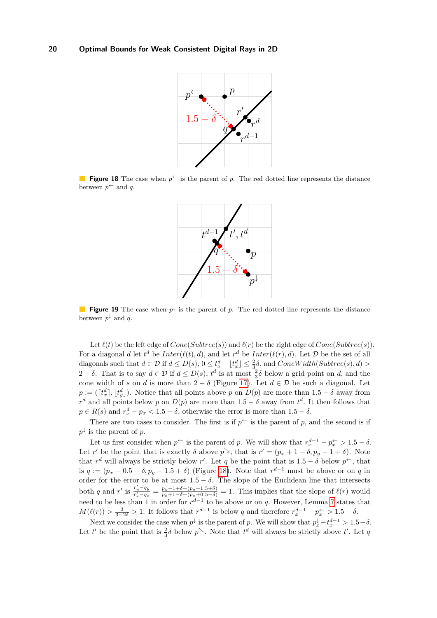<span id="page-19-0"></span>

<span id="page-19-1"></span>**Figure 18** The case when  $p^{\leftarrow}$  is the parent of p. The red dotted line represents the distance between  $p^{\leftarrow}$  and q.



**Figure 19** The case when  $p^{\downarrow}$  is the parent of p. The red dotted line represents the distance between  $p^{\downarrow}$  and *q*.

Let  $\ell(t)$  be the left edge of  $Cone(Subtree(s))$  and  $\ell(r)$  be the right edge of  $Cone(Subtree(s))$ . For a diagonal *d* let  $t^d$  be  $Inter(\ell(t), d)$ , and let  $r^d$  be  $Inter(\ell(r), d)$ . Let  $\mathcal D$  be the set of all diagonals such that  $d \in \mathcal{D}$  if  $d \leq D(s)$ ,  $0 \leq t_x^d - \lfloor t_x^d \rfloor \leq \frac{2}{3}\delta$ , and  $ConeWidth(Subre(s), d) >$ 2 − *δ*. That is to say  $d \in D$  if  $d \le D(s)$ ,  $t^d$  is at most  $\frac{2}{3}δ$  below a grid point on *d*, and the cone width of *s* on *d* is more than  $2 - \delta$  (Figure [17\)](#page-18-0). Let  $d \in \mathcal{D}$  be such a diagonal. Let  $p := (\lceil t_x^d \rceil, \lfloor t_y^d \rfloor)$ . Notice that all points above *p* on  $D(p)$  are more than 1.5 – *δ* away from  $r<sup>d</sup>$  and all points below *p* on *D*(*p*) are more than 1*.*5 − *δ* away from  $t<sup>d</sup>$ . It then follows that  $p \in R(s)$  and  $r_x^d - p_x < 1.5 - \delta$ , otherwise the error is more than  $1.5 - \delta$ .

There are two cases to consider. The first is if  $p^{\leftarrow}$  is the parent of p, and the second is if  $p^{\downarrow}$  is the parent of *p*.

Let us first consider when  $p^{\leftarrow}$  is the parent of *p*. We will show that  $r_x^{d-1} - p_x^{\leftarrow} > 1.5 - \delta$ . Let *r'* be the point that is exactly  $\delta$  above  $p^{\searrow}$ , that is  $r' = (p_x + 1 - \delta, p_y - 1 + \delta)$ . Note that  $r^d$  will always be strictly below  $r'$ . Let q be the point that is  $1.5 - \delta$  below  $p^{\leftarrow}$ , that is  $q := (p_x + 0.5 - \delta, p_y - 1.5 + \delta)$  (Figure [18\)](#page-19-0). Note that  $r^{d-1}$  must be above or on *q* in order for the error to be at most  $1.5 - \delta$ . The slope of the Euclidean line that intersects both q and r' is  $\frac{r'_y-q_y}{r'_x-q_x} = \frac{p_y-1+\delta-(p_y-1.5+\delta)}{p_x+1-\delta-(p_x+0.5-\delta)} = 1$ . This implies that the slope of  $\ell(r)$  would need to be less than 1 in order for  $r^{d-1}$  to be above or on *q*. However, Lemma [7](#page-13-1) states that  $M(\ell(r)) > \frac{3}{3-2\delta} > 1$ . It follows that  $r^{d-1}$  is below *q* and therefore  $r_x^{d-1} - p_x^{\leftarrow} > 1.5 - \delta$ .

Next we consider the case when  $p^{\downarrow}$  is the parent of *p*. We will show that  $p_x^{\downarrow} - t_x^{d-1} > 1.5 - \delta$ . Let *t'* be the point that is  $\frac{2}{3}\delta$  below  $p^{\nwarrow}$ . Note that  $t^d$  will always be strictly above *t'*. Let *q*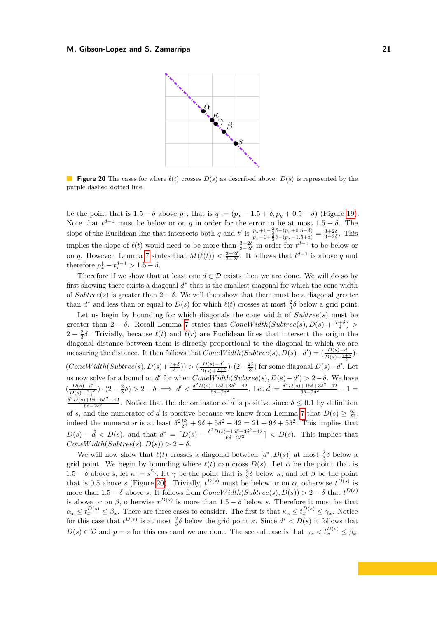<span id="page-20-0"></span>

**Figure 20** The cases for where *ℓ*(*t*) crosses *D*(*s*) as described above. *D*(*s*) is represented by the purple dashed dotted line.

be the point that is  $1.5 - \delta$  above  $p^{\downarrow}$ , that is  $q := (p_x - 1.5 + \delta, p_y + 0.5 - \delta)$  (Figure [19\)](#page-19-1). Note that  $t^{d-1}$  must be below or on *q* in order for the error to be at most 1.5 −  $\delta$ . The slope of the Euclidean line that intersects both *q* and *t'* is  $\frac{p_y+1-\frac{2}{3}\delta-(p_y+0.5-\delta)}{p_y-1+\frac{2}{3}\delta-(p_y-1.5+\delta)}$  $\frac{p_y+1-\frac{2}{3}\delta-(p_y+0.5-\delta)}{p_x-1+\frac{2}{3}\delta-(p_x-1.5+\delta)}=\frac{3+2\delta}{3-2\delta}$ . This implies the slope of  $\ell(t)$  would need to be more than  $\frac{3+2\delta}{3-2\delta}$  in order for  $t^{d-1}$  to be below or on *q*. However, Lemma [7](#page-13-1) states that  $M(\ell(t)) < \frac{3+2\delta}{3-2\delta}$ . It follows that  $t^{d-1}$  is above *q* and therefore  $p_x^{\downarrow} - t_x^{d-1} > 1.5 - \delta$ .

Therefore if we show that at least one  $d \in \mathcal{D}$  exists then we are done. We will do so by first showing there exists a diagonal  $d^*$  that is the smallest diagonal for which the cone width of  $Subtree(s)$  is greater than  $2 - \delta$ . We will then show that there must be a diagonal greater than  $d^*$  and less than or equal to  $D(s)$  for which  $\ell(t)$  crosses at most  $\frac{2}{3}\delta$  below a grid point.

Let us begin by bounding for which diagonals the cone width of *Subtree*(*s*) must be greater than 2 –  $\delta$ . Recall Lemma [7](#page-13-1) states that  $ConeWidth(Subre(s), D(s) + \frac{7+\delta}{\delta})$  > 2 –  $\frac{2}{3}$ δ. Trivially, because  $\ell(t)$  and  $\ell(r)$  are Euclidean lines that intersect the origin the diagonal distance between them is directly proportional to the diagonal in which we are measuring the distance. It then follows that  $ConeWidth(Subre(s), D(s) - d') = (\frac{D(s) - d'}{D(s) + 7\pi})$  $\frac{D(s)-a}{D(s)+\frac{7+\delta}{\delta}}$ .

 $(ConeWidth(Subre(s), D(s) + \frac{7+\delta}{\delta})) > (\frac{D(s)-d'}{D(s)+\frac{7+\delta}{\delta}}) \cdot (2-\frac{2\delta}{3})$  for some diagonal  $D(s) - d'$ .  $\frac{D(s)-d'}{D(s)+\frac{7+\delta}{\delta}}$   $\cdot$  (2− $\frac{2\delta}{3}$ ) for some diagonal *D*(*s*)−*d*'. Let us now solve for a bound on *d'* for when  $ConeWidth(Subre(s), D(s) - d') > 2 - \delta$ . We have  $\left(\frac{D(s)-d'}{D(s)+T+1}\right)$  $\frac{D(s) - d'}{D(s) + \frac{7+\delta}{\delta}}$  ·  $(2 - \frac{2}{3}\delta) > 2 - \delta \implies d' < \frac{\delta^2 D(s) + 15\delta + 3\delta^2 - 42}{6\delta - 2\delta^2}$  $\frac{+15\delta+3\delta^2-42}{6\delta-2\delta^2}$ . Let  $\hat{d} := \frac{\delta^2 D(s)+15\delta+3\delta^2-42}{6\delta-2\delta^2}$  $\frac{+150+30-42}{6\delta-2\delta^2} - 1 =$ *δ* <sup>2</sup>*D*(*s*)+9*δ*+5*δ* <sup>2</sup>−42

 $\frac{6}{60}$  $\frac{6}{20}$ <sup>2</sup> $-2\delta$ <sup>2</sup>. Notice that the denominator of  $\hat{d}$  is positive since  $\delta \leq 0.1$  by definition of *s*, and the numerator of  $\hat{d}$  is positive because we know from Lemma [7](#page-13-1) that  $D(s) \geq \frac{63}{\delta^2}$ , indeed the numerator is at least  $\delta^2 \frac{63}{\delta^2} + 9\delta + 5\delta^2 - 42 = 21 + 9\delta + 5\delta^2$ . This implies that  $D(s) - \hat{d} < D(s)$ , and that  $d^* = \left[D(s) - \frac{\delta^2 D(s) + 15\delta + 3\delta^2 - 42}{6\delta - 2\delta^2}\right]$  $\frac{+15\delta+3\delta-42}{6\delta-2\delta^2}$  < D(*s*). This implies that  $ConeWidth(Subtree(s), D(s)) > 2 - \delta.$ 

We will now show that  $\ell(t)$  crosses a diagonal between  $[d^*, D(s)]$  at most  $\frac{2}{3}\delta$  below a grid point. We begin by bounding where  $\ell(t)$  can cross  $D(s)$ . Let  $\alpha$  be the point that is 1.5 – *δ* above *s*, let  $\kappa := s^{\nwarrow}$ , let  $\gamma$  be the point that is  $\frac{2}{3}\delta$  below  $\kappa$ , and let  $\beta$  be the point that is 0.5 above *s* (Figure [20\)](#page-20-0). Trivially,  $t^{D(s)}$  must be below or on  $\alpha$ , otherwise  $t^{D(s)}$  is more than  $1.5 - \delta$  above *s*. It follows from  $ConeWidth(Subtree(s), D(s)) > 2 - \delta$  that  $t^{D(s)}$ is above or on  $\beta$ , otherwise  $r^{D(s)}$  is more than  $1.5 - \delta$  below *s*. Therefore it must be that  $\alpha_x \leq t_x^{D(s)} \leq \beta_x$ . There are three cases to consider. The first is that  $\kappa_x \leq t_x^{D(s)} \leq \gamma_x$ . Notice for this case that  $t^{D(s)}$  is at most  $\frac{2}{3}\delta$  below the grid point *κ*. Since  $d^* < D(s)$  it follows that  $D(s) \in \mathcal{D}$  and  $p = s$  for this case and we are done. The second case is that  $\gamma_x < t_x^{D(s)} \leq \beta_x$ ,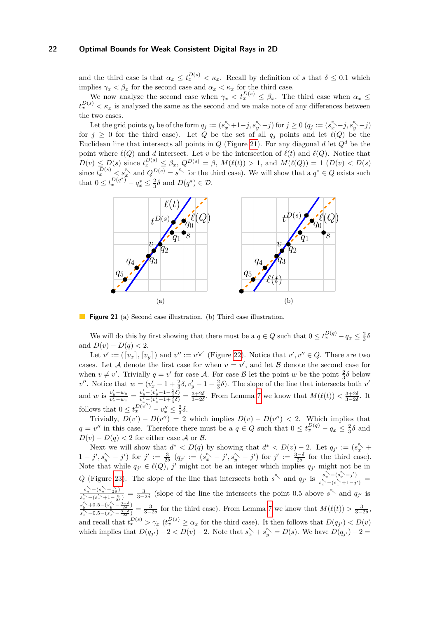and the third case is that  $\alpha_x \leq t_x^{D(s)} < \kappa_x$ . Recall by definition of *s* that  $\delta \leq 0.1$  which implies  $\gamma_x < \beta_x$  for the second case and  $\alpha_x < \kappa_x$  for the third case.

We now analyze the second case when  $\gamma_x < t_x^{D(s)} \leq \beta_x$ . The third case when  $\alpha_x \leq$  $t_x^{D(s)} < \kappa_x$  is analyzed the same as the second and we make note of any differences between the two cases.

Let the grid points  $q_j$  be of the form  $q_j := (s_x^{\kappa} + 1 - j, s_y^{\kappa} - j)$  for  $j \ge 0$   $(q_j := (s_x^{\kappa} - j, s_y^{\kappa} - j)$ for  $j \geq 0$  for the third case). Let *Q* be the set of all  $q_i$  points and let  $\ell(Q)$  be the Euclidean line that intersects all points in *Q* (Figure [21\)](#page-21-0). For any diagonal *d* let  $Q<sup>d</sup>$  be the point where  $\ell(Q)$  and *d* intersect. Let *v* be the intersection of  $\ell(t)$  and  $\ell(Q)$ . Notice that  $D(v) \leq D(s)$  since  $t_x^{D(s)} \leq \beta_x$ ,  $Q^{D(s)} = \beta$ ,  $M(\ell(t)) > 1$ , and  $M(\ell(Q)) = 1$   $(D(v) < D(s))$ since  $t_x^{D(s)} < s_x^{\nwarrow}$  and  $Q^{D(s)} = s^{\nwarrow}$  for the third case). We will show that a  $q^* \in Q$  exists such that  $0 \le t_x^{D(q^*)} - q_x^* \le \frac{2}{3}\delta$  and  $D(q^*) \in \mathcal{D}$ .

<span id="page-21-0"></span>

**Figure 21** (a) Second case illustration. (b) Third case illustration.

We will do this by first showing that there must be a  $q \in Q$  such that  $0 \le t_x^{D(q)} - q_x \le \frac{2}{3}\delta$ and  $D(v) - D(q) < 2$ .

Let  $v' := (\lceil v_x \rceil, \lceil v_y \rceil)$  and  $v'' := v'^{\checkmark}$  (Figure [22\)](#page-22-2). Notice that  $v', v'' \in Q$ . There are two cases. Let A denote the first case for when  $v = v'$ , and let B denote the second case for when  $v \neq v'$ . Trivially  $q = v'$  for case A. For case B let the point *w* be the point  $\frac{2}{3}\delta$  below when  $v \neq v$ . Invitancy  $q = v$  for ease  $\lambda$ . For ease *b* fee the point *w* be the point  $\frac{3}{3}v$  below<br>*v''*. Notice that  $w = (v_x' - 1 + \frac{2}{3}\delta, v_y' - 1 - \frac{2}{3}\delta)$ . The slope of the line that intersects both *v'* and *w* is  $\frac{v'_y - w_y}{v'_x - w_x} = \frac{v'_y - (v'_y - 1 - \frac{2}{3}\delta)}{v'_x - (v'_x - 1 + \frac{2}{3}\delta)}$  $\frac{v_y - (v_y - 1 - \frac{2}{3}\delta)}{v_x' - (v_x' - 1 + \frac{2}{3}\delta)} = \frac{3+2\delta}{3-2\delta}$ . From Lemma [7](#page-13-1) we know that  $M(\ell(t)) < \frac{3+2\delta}{3-2\delta}$ . It follows that  $0 \le t_x^{D(v'')} - v_x'' \le \frac{2}{3}\delta$ .

Trivially,  $D(v') - D(v'') = 2$  which implies  $D(v) - D(v'') < 2$ . Which implies that  $q = v''$  in this case. Therefore there must be a  $q \in Q$  such that  $0 \le t_x^{D(q)} - q_x \le \frac{2}{3}\delta$  and  $D(v) - D(q) < 2$  for either case A or B.

Next we will show that  $d^* < D(q)$  by showing that  $d^* < D(v) - 2$ . Let  $q_{j'} := (s_x^* +$  $1 - j', s_y^{\nwarrow} - j'$  for  $j' := \frac{3}{2\delta} (q_{j'} := (s_x^{\nwarrow} - j', s_y^{\nwarrow} - j')$  for  $j' := \frac{3-\delta}{2\delta}$  for the third case). Note that while  $q_{j'} \in \ell(Q)$ , *j'* might not be an integer which implies  $q_{j'}$  might not be in *Q* (Figure [23\)](#page-22-3). The slope of the line that intersects both  $s^{\nwarrow}$  and  $q_{j'}$  is  $\frac{s^{\nwarrow}_{y} - (s^{\nwarrow}_{y} - j')}{s^{\nwarrow}_{y} - (s^{\nwarrow}_{y} + 1 - j)}$  $\frac{s_y - (s_y - j)}{s_x^2 - (s_x^2 + 1 - j')}$  =  $s_y^{\nwarrow}$   $-(s_y^{\nwarrow} - \frac{3}{2\delta})$  $\frac{s_y - (s_y - \frac{3}{2\delta})}{s_x - (s_x + 1 - \frac{3}{2\delta})} = \frac{3}{3 - 2\delta}$  (slope of the line the intersects the point 0.5 above  $s^{\nwarrow}$  and  $q_{j'}$  is  $s_y^{\nwarrow}$  +0.5– $(s_y^{\nwarrow} - \frac{3-\delta}{2\delta})$  $\frac{s_y}{s_x^2 - 0.5 - (s_x^2 - \frac{3-\delta}{2\delta})} = \frac{3}{3-2\delta}$  for the third case). From Lemma [7](#page-13-1) we know that  $M(\ell(t)) > \frac{3}{3-2\delta}$ , and recall that  $t_x^{D(s)} > \gamma_x (t_x^{D(s)} \ge \alpha_x$  for the third case). It then follows that  $D(q_{j'}) < D(v)$ which implies that  $D(q_{j'}) - 2 < D(v) - 2$ . Note that  $s_x^{\lt} \gt + s_y^{\lt} = D(s)$ . We have  $D(q_{j'}) - 2 =$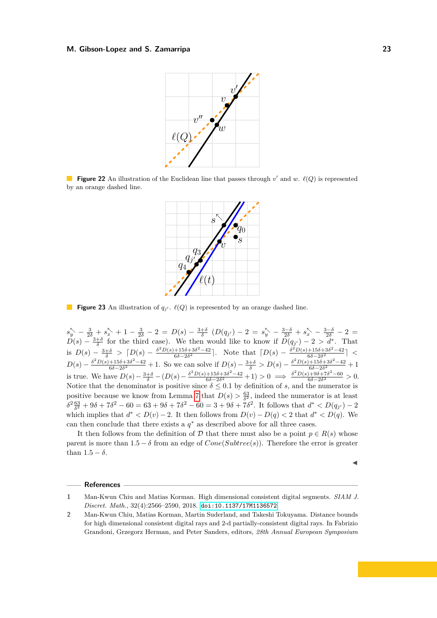<span id="page-22-2"></span>

<span id="page-22-3"></span>**Figure 22** An illustration of the Euclidean line that passes through  $v'$  and  $w$ .  $\ell(Q)$  is represented by an orange dashed line.



**Figure 23** An illustration of  $q_{j'}$ .  $\ell(Q)$  is represented by an orange dashed line.

 $s_{y}^{k} - \frac{3}{2\delta} + s_{x}^{k} + 1 - \frac{3}{2\delta} - 2 = D(s) - \frac{3+\delta}{\delta} (D(q_{j'}) - 2) = s_{y}^{k} - \frac{3-\delta}{2\delta} + s_{x}^{k} - \frac{3-\delta}{2\delta} - 2 =$  $D(s) - \frac{3+\delta}{\delta}$  for the third case). We then would like to know if  $D(q_{j'}) - 2 > d^*$ . That is  $D(s) - \frac{3+\delta}{\delta} > [D(s) - \frac{\delta^2 D(s) + 15\delta + 3\delta^2 - 42}{6\delta - 2\delta^2}$  $\frac{+15\delta+3\delta^2-42}{6\delta-2\delta^2}$ . Note that  $[D(s) - \frac{\delta^2 D(s)+15\delta+3\delta^2-42}{6\delta-2\delta^2}$  $\frac{+150+30-42}{6δ-2δ^2}$  | <  $D(s) - \frac{\delta^2 D(s) + 15\delta + 3\delta^2 - 42}{6\delta - 2\delta^2}$  $\frac{+15\delta+3\delta^2-42}{6\delta-2\delta^2}+1$ . So we can solve if  $D(s)-\frac{3+\delta}{\delta}>D(s)-\frac{\delta^2D(s)+15\delta+3\delta^2-42}{6\delta-2\delta^2}$  $\frac{+150+30-42}{6\delta-2\delta^2}+1$ is true. We have  $D(s) - \frac{3+\delta}{\delta} - (D(s) - \frac{\delta^2 D(s) + 15\delta + 3\delta^2 - 42}{6\delta - 2\delta^2}$  $\frac{6\delta + 3\delta^2 - 42}{6\delta - 2\delta^2} + 1$  > 0  $\implies \frac{\delta^2 D(s) + 9\delta + 7\delta^2 - 60}{6\delta - 2\delta^2}$  $\frac{6\delta-2\delta^2}{6\delta-2\delta^2} > 0.$ Notice that the denominator is positive since  $\delta \leq 0.1$  by definition of *s*, and the numerator is positive because we know from Lemma [7](#page-13-1) that  $D(s) > \frac{63}{\delta^2}$ , indeed the numerator is at least  $\delta^2 \frac{63}{\delta^2} + 9\delta + 7\delta^2 - 60 = 63 + 9\delta + 7\delta^2 - 60 = 3 + 9\delta + 7\delta^2$ . It follows that  $d^* < D(q_{j'}) - 2$ which implies that  $d^* < D(v) - 2$ . It then follows from  $D(v) - D(q) < 2$  that  $d^* < D(q)$ . We can then conclude that there exists a  $q^*$  as described above for all three cases.

It then follows from the definition of D that there must also be a point  $p \in R(s)$  whose parent is more than  $1.5 - \delta$  from an edge of  $Cone(Subtree(s))$ . Therefore the error is greater than  $1.5 - \delta$ .

#### **References**

◀

<span id="page-22-0"></span>**<sup>1</sup>** Man-Kwun Chiu and Matias Korman. High dimensional consistent digital segments. *SIAM J. Discret. Math.*, 32(4):2566–2590, 2018. [doi:10.1137/17M1136572](https://doi.org/10.1137/17M1136572).

<span id="page-22-1"></span>**<sup>2</sup>** Man-Kwun Chiu, Matias Korman, Martin Suderland, and Takeshi Tokuyama. Distance bounds for high dimensional consistent digital rays and 2-d partially-consistent digital rays. In Fabrizio Grandoni, Grzegorz Herman, and Peter Sanders, editors, *28th Annual European Symposium*